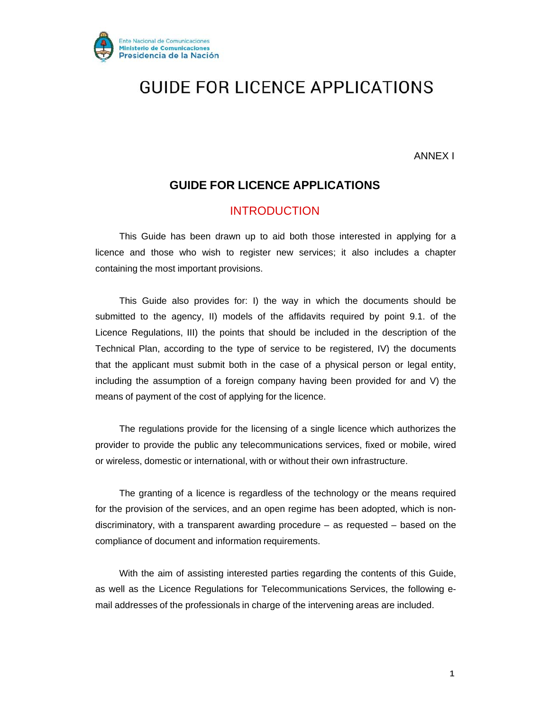

ANNEX I

### **GUIDE FOR LICENCE APPLICATIONS**

### INTRODUCTION

This Guide has been drawn up to aid both those interested in applying for a licence and those who wish to register new services; it also includes a chapter containing the most important provisions.

This Guide also provides for: I) the way in which the documents should be submitted to the agency, II) models of the affidavits required by point 9.1. of the Licence Regulations, III) the points that should be included in the description of the Technical Plan, according to the type of service to be registered, IV) the documents that the applicant must submit both in the case of a physical person or legal entity, including the assumption of a foreign company having been provided for and V) the means of payment of the cost of applying for the licence.

The regulations provide for the licensing of a single licence which authorizes the provider to provide the public any telecommunications services, fixed or mobile, wired or wireless, domestic or international, with or without their own infrastructure.

The granting of a licence is regardless of the technology or the means required for the provision of the services, and an open regime has been adopted, which is nondiscriminatory, with a transparent awarding procedure – as requested – based on the compliance of document and information requirements.

With the aim of assisting interested parties regarding the contents of this Guide, as well as the Licence Regulations for Telecommunications Services, the following email addresses of the professionals in charge of the intervening areas are included.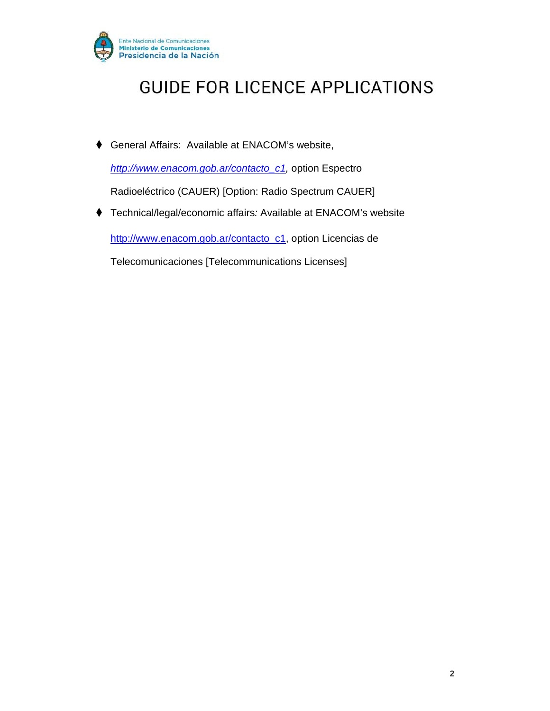

♦ General Affairs: Available at ENACOM's website,

*http://www.enacom.gob.ar/contacto\_c1,* option Espectro

Radioeléctrico (CAUER) [Option: Radio Spectrum CAUER]

♦ Technical/legal/economic affairs*:* Available at ENACOM's website

http://www.enacom.gob.ar/contacto\_c1, option Licencias de

Telecomunicaciones [Telecommunications Licenses]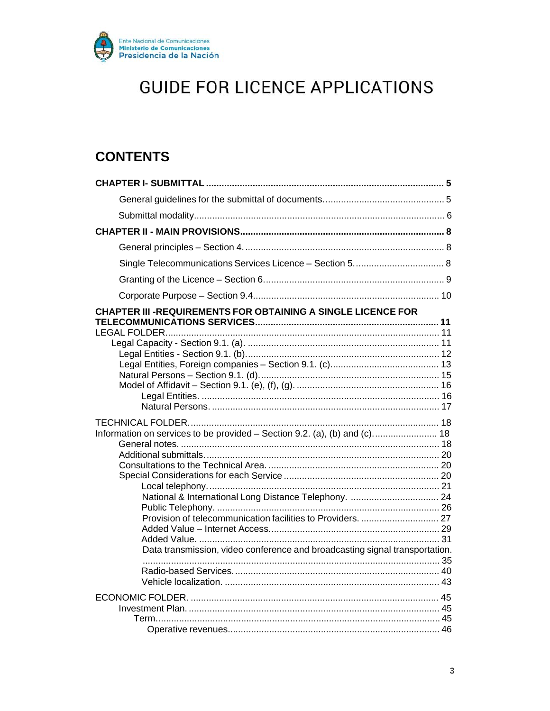

### **CONTENTS**

| CHAPTER III -REQUIREMENTS FOR OBTAINING A SINGLE LICENCE FOR                |  |
|-----------------------------------------------------------------------------|--|
|                                                                             |  |
|                                                                             |  |
|                                                                             |  |
|                                                                             |  |
|                                                                             |  |
|                                                                             |  |
|                                                                             |  |
| Information on services to be provided - Section 9.2. (a), (b) and (c) 18   |  |
|                                                                             |  |
|                                                                             |  |
|                                                                             |  |
|                                                                             |  |
|                                                                             |  |
|                                                                             |  |
|                                                                             |  |
|                                                                             |  |
|                                                                             |  |
| Data transmission, video conference and broadcasting signal transportation. |  |
|                                                                             |  |
|                                                                             |  |
|                                                                             |  |
|                                                                             |  |
|                                                                             |  |
|                                                                             |  |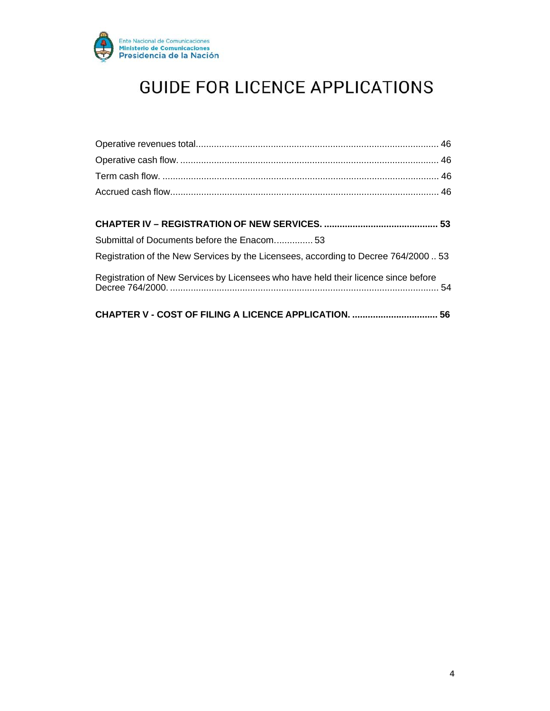

| Submittal of Documents before the Enacom 53                                         |  |
|-------------------------------------------------------------------------------------|--|
| Registration of the New Services by the Licensees, according to Decree 764/2000  53 |  |
| Registration of New Services by Licensees who have held their licence since before  |  |
| CHAPTER V - COST OF FILING A LICENCE APPLICATION.  56                               |  |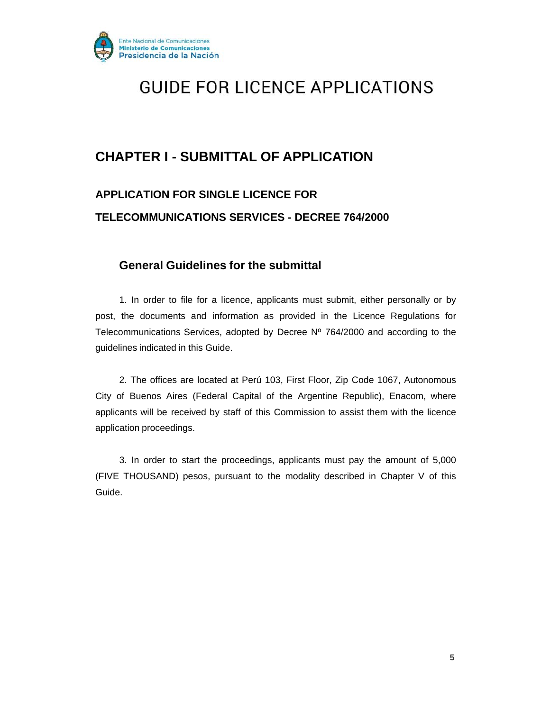

### **CHAPTER I - SUBMITTAL OF APPLICATION**

### **APPLICATION FOR SINGLE LICENCE FOR TELECOMMUNICATIONS SERVICES - DECREE 764/2000**

### **General Guidelines for the submittal**

1. In order to file for a licence, applicants must submit, either personally or by post, the documents and information as provided in the Licence Regulations for Telecommunications Services, adopted by Decree Nº 764/2000 and according to the guidelines indicated in this Guide.

2. The offices are located at Perú 103, First Floor, Zip Code 1067, Autonomous City of Buenos Aires (Federal Capital of the Argentine Republic), Enacom, where applicants will be received by staff of this Commission to assist them with the licence application proceedings.

3. In order to start the proceedings, applicants must pay the amount of 5,000 (FIVE THOUSAND) pesos, pursuant to the modality described in Chapter V of this Guide.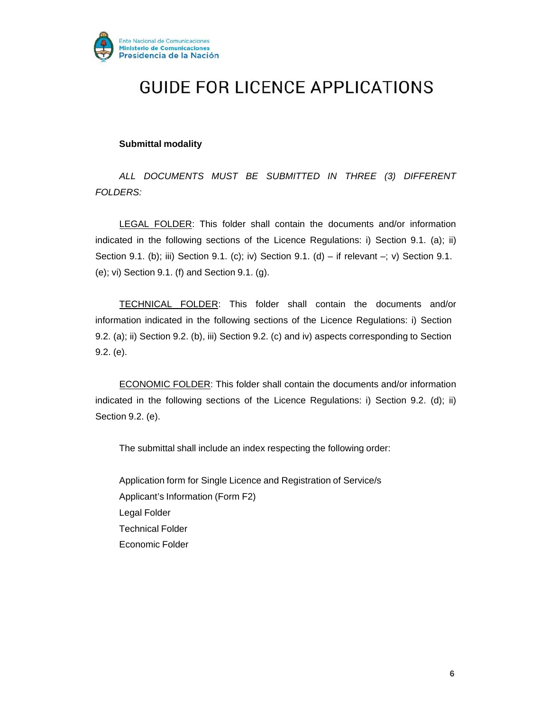

#### **Submittal modality**

*ALL DOCUMENTS MUST BE SUBMITTED IN THREE (3) DIFFERENT FOLDERS:*

LEGAL FOLDER: This folder shall contain the documents and/or information indicated in the following sections of the Licence Regulations: i) Section 9.1. (a); ii) Section 9.1. (b); iii) Section 9.1. (c); iv) Section 9.1. (d) – if relevant –; v) Section 9.1. (e); vi) Section 9.1. (f) and Section 9.1. (g).

TECHNICAL FOLDER: This folder shall contain the documents and/or information indicated in the following sections of the Licence Regulations: i) Section 9.2. (a); ii) Section 9.2. (b), iii) Section 9.2. (c) and iv) aspects corresponding to Section 9.2. (e).

ECONOMIC FOLDER: This folder shall contain the documents and/or information indicated in the following sections of the Licence Regulations: i) Section 9.2. (d); ii) Section 9.2. (e).

The submittal shall include an index respecting the following order:

Application form for Single Licence and Registration of Service/s Applicant's Information (Form F2) Legal Folder Technical Folder Economic Folder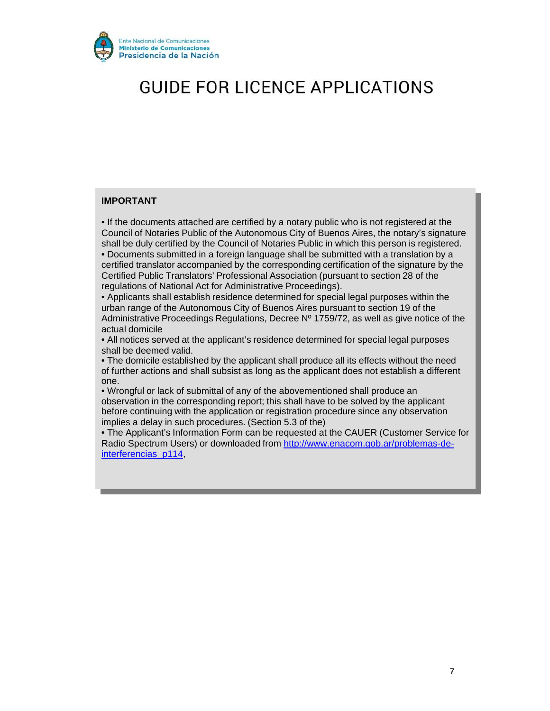

#### **IMPORTANT**

• If the documents attached are certified by a notary public who is not registered at the Council of Notaries Public of the Autonomous City of Buenos Aires, the notary's signature shall be duly certified by the Council of Notaries Public in which this person is registered.

• Documents submitted in a foreign language shall be submitted with a translation by a certified translator accompanied by the corresponding certification of the signature by the Certified Public Translators' Professional Association (pursuant to section 28 of the regulations of National Act for Administrative Proceedings).

• Applicants shall establish residence determined for special legal purposes within the urban range of the Autonomous City of Buenos Aires pursuant to section 19 of the Administrative Proceedings Regulations, Decree Nº 1759/72, as well as give notice of the actual domicile

• All notices served at the applicant's residence determined for special legal purposes shall be deemed valid.

• The domicile established by the applicant shall produce all its effects without the need of further actions and shall subsist as long as the applicant does not establish a different one.

• Wrongful or lack of submittal of any of the abovementioned shall produce an observation in the corresponding report; this shall have to be solved by the applicant before continuing with the application or registration procedure since any observation implies a delay in such procedures. (Section 5.3 of the)

• The Applicant's Information Form can be requested at the CAUER (Customer Service for Radio Spectrum Users) or downloaded from http://www.enacom.gob.ar/problemas-deinterferencias\_p114,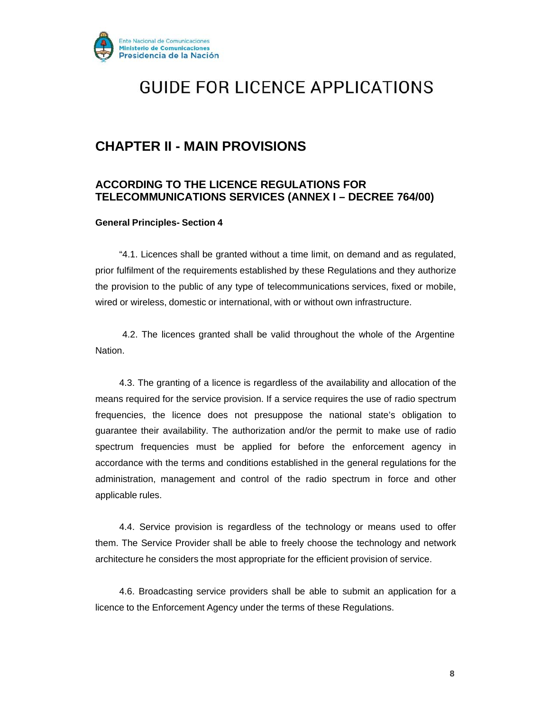

### **CHAPTER II - MAIN PROVISIONS**

### **ACCORDING TO THE LICENCE REGULATIONS FOR TELECOMMUNICATIONS SERVICES (ANNEX I – DECREE 764/00)**

#### **General Principles- Section 4**

"4.1. Licences shall be granted without a time limit, on demand and as regulated, prior fulfilment of the requirements established by these Regulations and they authorize the provision to the public of any type of telecommunications services, fixed or mobile, wired or wireless, domestic or international, with or without own infrastructure.

4.2. The licences granted shall be valid throughout the whole of the Argentine Nation.

4.3. The granting of a licence is regardless of the availability and allocation of the means required for the service provision. If a service requires the use of radio spectrum frequencies, the licence does not presuppose the national state's obligation to guarantee their availability. The authorization and/or the permit to make use of radio spectrum frequencies must be applied for before the enforcement agency in accordance with the terms and conditions established in the general regulations for the administration, management and control of the radio spectrum in force and other applicable rules.

4.4. Service provision is regardless of the technology or means used to offer them. The Service Provider shall be able to freely choose the technology and network architecture he considers the most appropriate for the efficient provision of service.

4.6. Broadcasting service providers shall be able to submit an application for a licence to the Enforcement Agency under the terms of these Regulations.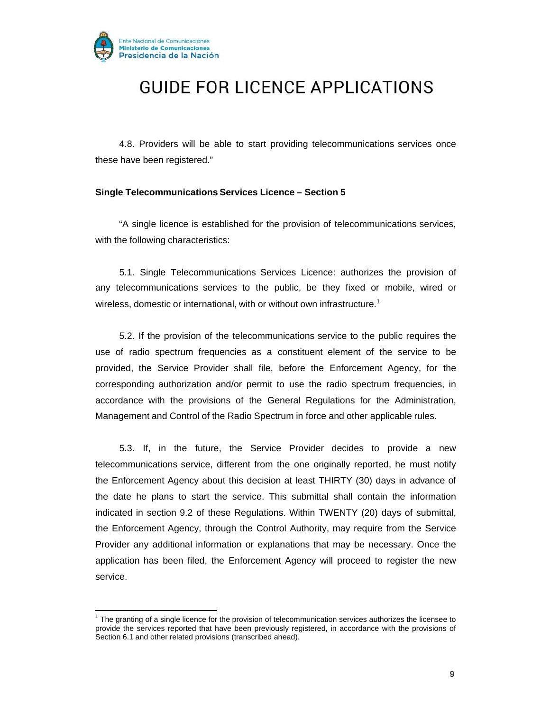

4.8. Providers will be able to start providing telecommunications services once these have been registered."

#### **Single Telecommunications Services Licence – Section 5**

"A single licence is established for the provision of telecommunications services, with the following characteristics:

5.1. Single Telecommunications Services Licence: authorizes the provision of any telecommunications services to the public, be they fixed or mobile, wired or wireless, domestic or international, with or without own infrastructure.<sup>1</sup>

5.2. If the provision of the telecommunications service to the public requires the use of radio spectrum frequencies as a constituent element of the service to be provided, the Service Provider shall file, before the Enforcement Agency, for the corresponding authorization and/or permit to use the radio spectrum frequencies, in accordance with the provisions of the General Regulations for the Administration, Management and Control of the Radio Spectrum in force and other applicable rules.

5.3. If, in the future, the Service Provider decides to provide a new telecommunications service, different from the one originally reported, he must notify the Enforcement Agency about this decision at least THIRTY (30) days in advance of the date he plans to start the service. This submittal shall contain the information indicated in section 9.2 of these Regulations. Within TWENTY (20) days of submittal, the Enforcement Agency, through the Control Authority, may require from the Service Provider any additional information or explanations that may be necessary. Once the application has been filed, the Enforcement Agency will proceed to register the new service.

<sup>&</sup>lt;sup>1</sup> The granting of a single licence for the provision of telecommunication services authorizes the licensee to provide the services reported that have been previously registered, in accordance with the provisions of Section 6.1 and other related provisions (transcribed ahead).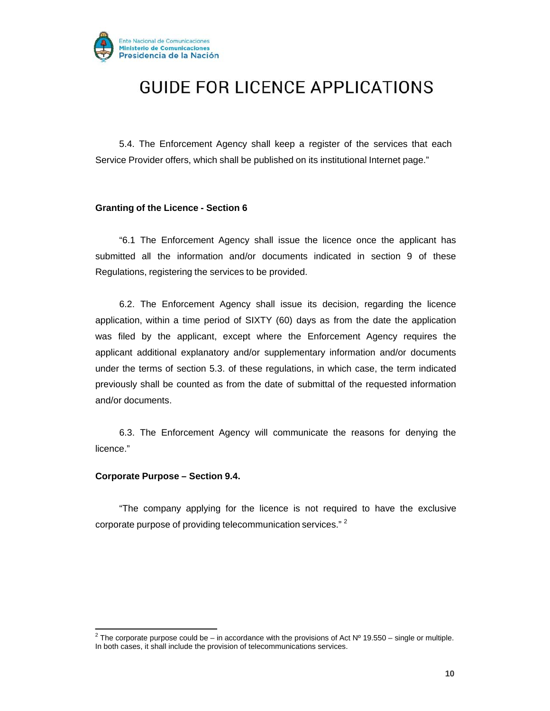

5.4. The Enforcement Agency shall keep a register of the services that each Service Provider offers, which shall be published on its institutional Internet page."

#### **Granting of the Licence - Section 6**

"6.1 The Enforcement Agency shall issue the licence once the applicant has submitted all the information and/or documents indicated in section 9 of these Regulations, registering the services to be provided.

6.2. The Enforcement Agency shall issue its decision, regarding the licence application, within a time period of SIXTY (60) days as from the date the application was filed by the applicant, except where the Enforcement Agency requires the applicant additional explanatory and/or supplementary information and/or documents under the terms of section 5.3. of these regulations, in which case, the term indicated previously shall be counted as from the date of submittal of the requested information and/or documents.

6.3. The Enforcement Agency will communicate the reasons for denying the licence."

#### **Corporate Purpose – Section 9.4.**

"The company applying for the licence is not required to have the exclusive corporate purpose of providing telecommunication services." 2

<sup>&</sup>lt;sup>2</sup> The corporate purpose could be – in accordance with the provisions of Act Nº 19.550 – single or multiple. In both cases, it shall include the provision of telecommunications services.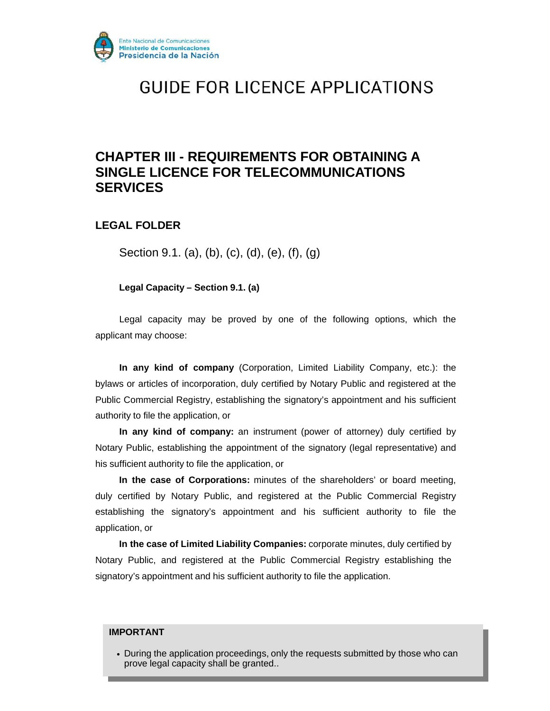

### **CHAPTER III - REQUIREMENTS FOR OBTAINING A SINGLE LICENCE FOR TELECOMMUNICATIONS SERVICES**

### **LEGAL FOLDER**

Section 9.1. (a), (b), (c), (d), (e), (f), (g)

**Legal Capacity – Section 9.1. (a)**

Legal capacity may be proved by one of the following options, which the applicant may choose:

**In any kind of company** (Corporation, Limited Liability Company, etc.): the bylaws or articles of incorporation, duly certified by Notary Public and registered at the Public Commercial Registry, establishing the signatory's appointment and his sufficient authority to file the application, or

**In any kind of company:** an instrument (power of attorney) duly certified by Notary Public, establishing the appointment of the signatory (legal representative) and his sufficient authority to file the application, or

**In the case of Corporations:** minutes of the shareholders' or board meeting, duly certified by Notary Public, and registered at the Public Commercial Registry establishing the signatory's appointment and his sufficient authority to file the application, or

**In the case of Limited Liability Companies:** corporate minutes, duly certified by Notary Public, and registered at the Public Commercial Registry establishing the signatory's appointment and his sufficient authority to file the application.

#### **IMPORTANT**

• During the application proceedings, only the requests submitted by those who can prove legal capacity shall be granted..

**11**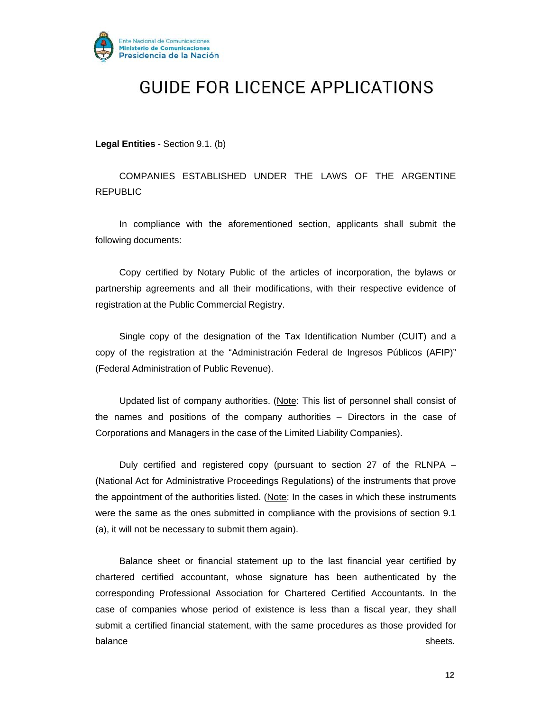

**Legal Entities** - Section 9.1. (b)

COMPANIES ESTABLISHED UNDER THE LAWS OF THE ARGENTINE REPUBLIC

In compliance with the aforementioned section, applicants shall submit the following documents:

Copy certified by Notary Public of the articles of incorporation, the bylaws or partnership agreements and all their modifications, with their respective evidence of registration at the Public Commercial Registry.

Single copy of the designation of the Tax Identification Number (CUIT) and a copy of the registration at the "Administración Federal de Ingresos Públicos (AFIP)" (Federal Administration of Public Revenue).

Updated list of company authorities. (Note: This list of personnel shall consist of the names and positions of the company authorities – Directors in the case of Corporations and Managers in the case of the Limited Liability Companies).

Duly certified and registered copy (pursuant to section 27 of the RLNPA – (National Act for Administrative Proceedings Regulations) of the instruments that prove the appointment of the authorities listed. (Note: In the cases in which these instruments were the same as the ones submitted in compliance with the provisions of section 9.1 (a), it will not be necessary to submit them again).

Balance sheet or financial statement up to the last financial year certified by chartered certified accountant, whose signature has been authenticated by the corresponding Professional Association for Chartered Certified Accountants. In the case of companies whose period of existence is less than a fiscal year, they shall submit a certified financial statement, with the same procedures as those provided for balance sheets. In the sheets of the sheets of the sheets of the sheets of the sheets.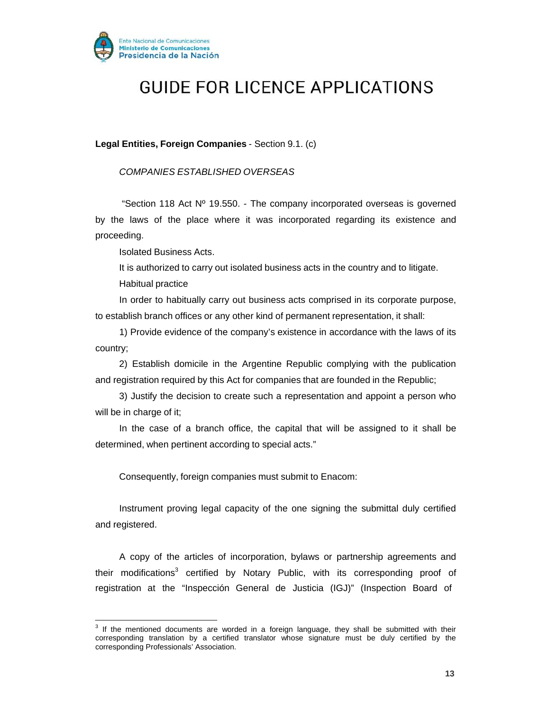

**Legal Entities, Foreign Companies** - Section 9.1. (c)

*COMPANIES ESTABLISHED OVERSEAS*

"Section 118 Act  $N^{\circ}$  19.550. - The company incorporated overseas is governed by the laws of the place where it was incorporated regarding its existence and proceeding.

Isolated Business Acts.

It is authorized to carry out isolated business acts in the country and to litigate. Habitual practice

In order to habitually carry out business acts comprised in its corporate purpose, to establish branch offices or any other kind of permanent representation, it shall:

1) Provide evidence of the company's existence in accordance with the laws of its country;

2) Establish domicile in the Argentine Republic complying with the publication and registration required by this Act for companies that are founded in the Republic;

3) Justify the decision to create such a representation and appoint a person who will be in charge of it;

In the case of a branch office, the capital that will be assigned to it shall be determined, when pertinent according to special acts."

Consequently, foreign companies must submit to Enacom:

Instrument proving legal capacity of the one signing the submittal duly certified and registered.

A copy of the articles of incorporation, bylaws or partnership agreements and their modifications<sup>3</sup> certified by Notary Public, with its corresponding proof of registration at the "Inspección General de Justicia (IGJ)" (Inspection Board of

 $3$  If the mentioned documents are worded in a foreign language, they shall be submitted with their corresponding translation by a certified translator whose signature must be duly certified by the corresponding Professionals' Association.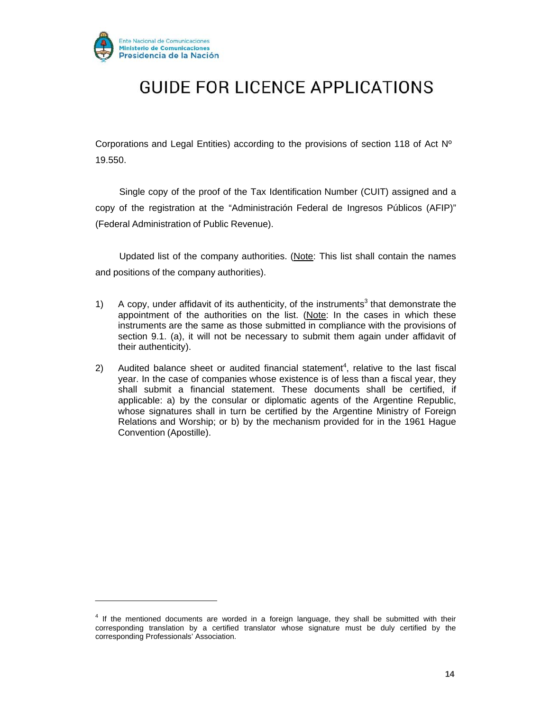

Corporations and Legal Entities) according to the provisions of section 118 of Act  $N^{\circ}$ 19.550.

Single copy of the proof of the Tax Identification Number (CUIT) assigned and a copy of the registration at the "Administración Federal de Ingresos Públicos (AFIP)" (Federal Administration of Public Revenue).

Updated list of the company authorities. (Note: This list shall contain the names and positions of the company authorities).

- 1) A copy, under affidavit of its authenticity, of the instruments<sup>3</sup> that demonstrate the appointment of the authorities on the list. (Note: In the cases in which these instruments are the same as those submitted in compliance with the provisions of section 9.1. (a), it will not be necessary to submit them again under affidavit of their authenticity).
- 2) Audited balance sheet or audited financial statement<sup>4</sup>, relative to the last fiscal year. In the case of companies whose existence is of less than a fiscal year, they shall submit a financial statement. These documents shall be certified, if applicable: a) by the consular or diplomatic agents of the Argentine Republic, whose signatures shall in turn be certified by the Argentine Ministry of Foreign Relations and Worship; or b) by the mechanism provided for in the 1961 Hague Convention (Apostille).

 $4$  If the mentioned documents are worded in a foreign language, they shall be submitted with their corresponding translation by a certified translator whose signature must be duly certified by the corresponding Professionals' Association.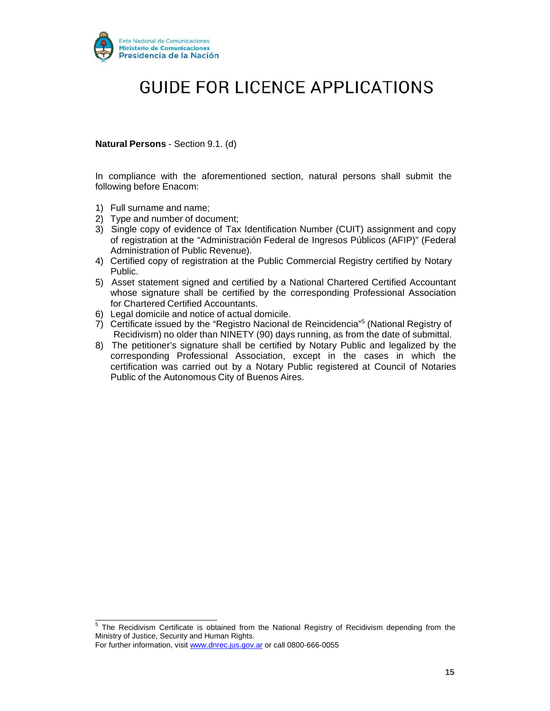

**Natural Persons** - Section 9.1. (d)

In compliance with the aforementioned section, natural persons shall submit the following before Enacom:

- 1) Full surname and name;
- 2) Type and number of document;
- 3) Single copy of evidence of Tax Identification Number (CUIT) assignment and copy of registration at the "Administración Federal de Ingresos Públicos (AFIP)" (Federal Administration of Public Revenue).
- 4) Certified copy of registration at the Public Commercial Registry certified by Notary Public.
- 5) Asset statement signed and certified by a National Chartered Certified Accountant whose signature shall be certified by the corresponding Professional Association for Chartered Certified Accountants.
- 6) Legal domicile and notice of actual domicile.
- 7) Certificate issued by the "Registro Nacional de Reincidencia"5 (National Registry of Recidivism) no older than NINETY (90) days running, as from the date of submittal.
- 8) The petitioner's signature shall be certified by Notary Public and legalized by the corresponding Professional Association, except in the cases in which the certification was carried out by a Notary Public registered at Council of Notaries Public of the Autonomous City of Buenos Aires.

<sup>&</sup>lt;sup>5</sup> The Recidivism Certificate is obtained from the National Registry of Recidivism depending from the Ministry of Justice, Security and Human Rights.

For further information, visit www.dnrec.jus.gov.ar or call 0800-666-0055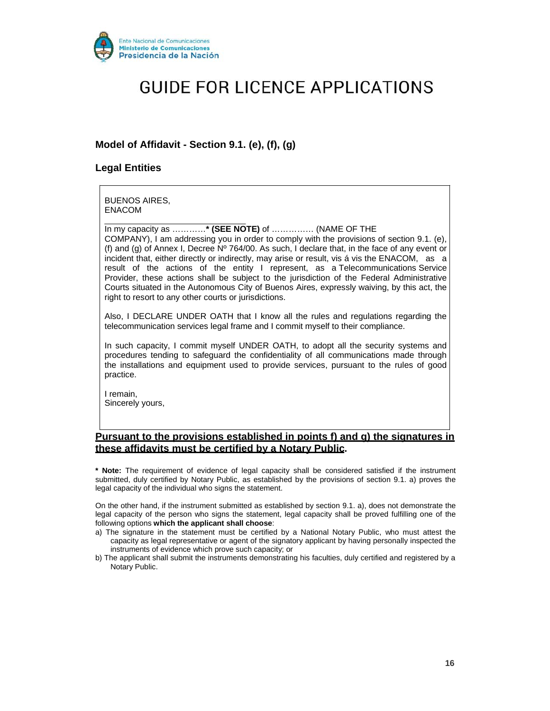

### **Model of Affidavit - Section 9.1. (e), (f), (g)**

#### **Legal Entities**

BUENOS AIRES, ENACOM

In my capacity as …………**\* (SEE NOTE)** of …………… (NAME OF THE COMPANY), I am addressing you in order to comply with the provisions of section 9.1. (e), (f) and (g) of Annex I, Decree  $N^{\circ}$  764/00. As such, I declare that, in the face of any event or incident that, either directly or indirectly, may arise or result, vis á vis the ENACOM, as a result of the actions of the entity I represent, as a Telecommunications Service Provider, these actions shall be subject to the jurisdiction of the Federal Administrative Courts situated in the Autonomous City of Buenos Aires, expressly waiving, by this act, the right to resort to any other courts or jurisdictions.

Also, I DECLARE UNDER OATH that I know all the rules and regulations regarding the telecommunication services legal frame and I commit myself to their compliance.

In such capacity, I commit myself UNDER OATH, to adopt all the security systems and procedures tending to safeguard the confidentiality of all communications made through the installations and equipment used to provide services, pursuant to the rules of good practice.

I remain, Sincerely yours,

#### **Pursuant to the provisions established in points f) and g) the signatures in these affidavits must be certified by a Notary Public.**

**\* Note:** The requirement of evidence of legal capacity shall be considered satisfied if the instrument submitted, duly certified by Notary Public, as established by the provisions of section 9.1. a) proves the legal capacity of the individual who signs the statement.

On the other hand, if the instrument submitted as established by section 9.1. a), does not demonstrate the legal capacity of the person who signs the statement, legal capacity shall be proved fulfilling one of the following options **which the applicant shall choose**:

- a) The signature in the statement must be certified by a National Notary Public, who must attest the capacity as legal representative or agent of the signatory applicant by having personally inspected the instruments of evidence which prove such capacity; or
- b) The applicant shall submit the instruments demonstrating his faculties, duly certified and registered by a Notary Public.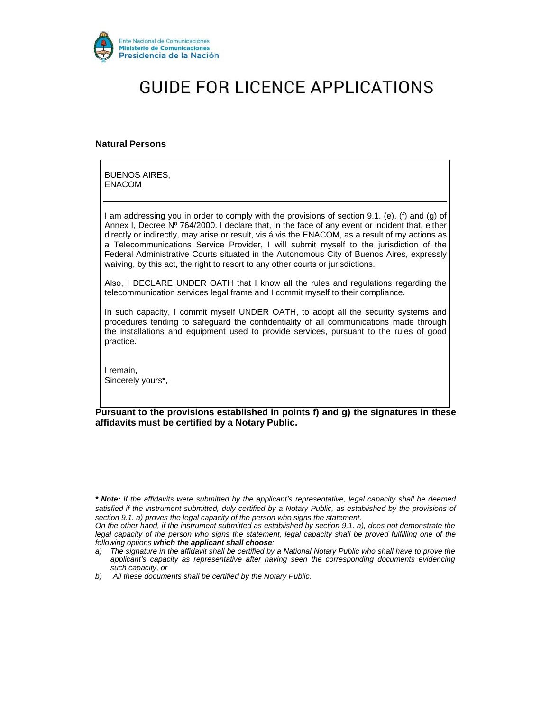

#### **Natural Persons**

BUENOS AIRES, ENACOM

I am addressing you in order to comply with the provisions of section 9.1. (e), (f) and (g) of Annex I, Decree Nº 764/2000. I declare that, in the face of any event or incident that, either directly or indirectly, may arise or result, vis á vis the ENACOM, as a result of my actions as a Telecommunications Service Provider, I will submit myself to the jurisdiction of the Federal Administrative Courts situated in the Autonomous City of Buenos Aires, expressly waiving, by this act, the right to resort to any other courts or jurisdictions.

Also, I DECLARE UNDER OATH that I know all the rules and regulations regarding the telecommunication services legal frame and I commit myself to their compliance.

In such capacity, I commit myself UNDER OATH, to adopt all the security systems and procedures tending to safeguard the confidentiality of all communications made through the installations and equipment used to provide services, pursuant to the rules of good practice.

I remain, Sincerely yours\*,

**Pursuant to the provisions established in points f) and g) the signatures in these affidavits must be certified by a Notary Public.**

*\* Note: If the affidavits were submitted by the applicant's representative, legal capacity shall be deemed satisfied if the instrument submitted, duly certified by a Notary Public, as established by the provisions of section 9.1. a) proves the legal capacity of the person who signs the statement.*

*On the other hand, if the instrument submitted as established by section 9.1. a), does not demonstrate the legal capacity of the person who signs the statement, legal capacity shall be proved fulfilling one of the following options which the applicant shall choose:*

*a) The signature in the affidavit shall be certified by a National Notary Public who shall have to prove the applicant's capacity as representative after having seen the corresponding documents evidencing such capacity, or*

*b) All these documents shall be certified by the Notary Public.*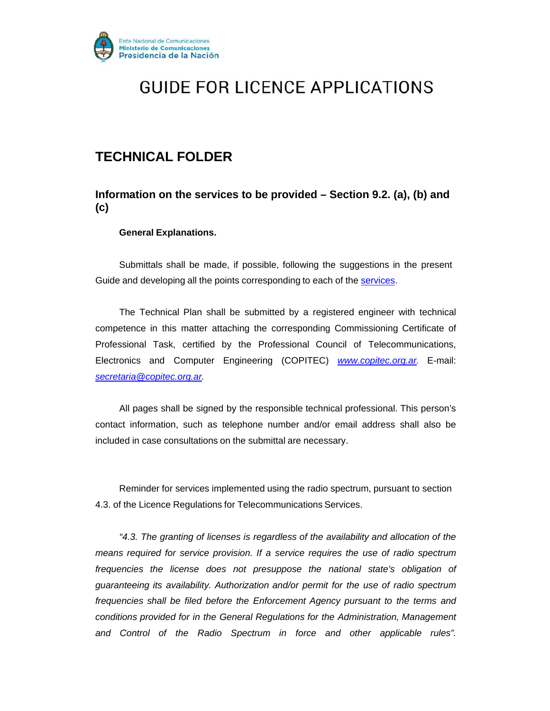

### **TECHNICAL FOLDER**

**Information on the services to be provided – Section 9.2. (a), (b) and (c)**

#### **General Explanations.**

Submittals shall be made, if possible, following the suggestions in the present Guide and developing all the points corresponding to each of the services.

The Technical Plan shall be submitted by a registered engineer with technical competence in this matter attaching the corresponding Commissioning Certificate of Professional Task, certified by the Professional Council of Telecommunications, Electronics and Computer Engineering (COPITEC) *www.copitec.org.ar.* E-mail: *secretaria@copitec.org.ar.*

All pages shall be signed by the responsible technical professional. This person's contact information, such as telephone number and/or email address shall also be included in case consultations on the submittal are necessary.

Reminder for services implemented using the radio spectrum, pursuant to section 4.3. of the Licence Regulations for Telecommunications Services.

*"4.3. The granting of licenses is regardless of the availability and allocation of the means required for service provision. If a service requires the use of radio spectrum frequencies the license does not presuppose the national state's obligation of guaranteeing its availability. Authorization and/or permit for the use of radio spectrum frequencies shall be filed before the Enforcement Agency pursuant to the terms and conditions provided for in the General Regulations for the Administration, Management and Control of the Radio Spectrum in force and other applicable rules".*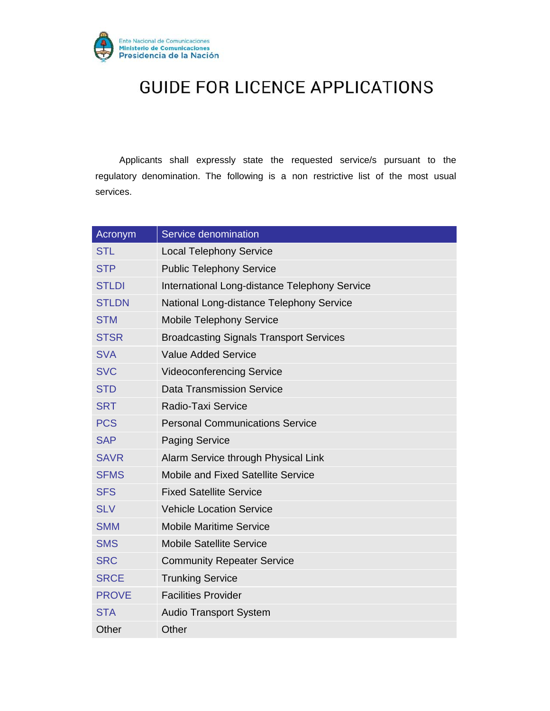

Applicants shall expressly state the requested service/s pursuant to the regulatory denomination. The following is a non restrictive list of the most usual services.

| Acronym      | Service denomination                           |
|--------------|------------------------------------------------|
| <b>STL</b>   | <b>Local Telephony Service</b>                 |
| <b>STP</b>   | <b>Public Telephony Service</b>                |
| <b>STLDI</b> | International Long-distance Telephony Service  |
| <b>STLDN</b> | National Long-distance Telephony Service       |
| <b>STM</b>   | <b>Mobile Telephony Service</b>                |
| <b>STSR</b>  | <b>Broadcasting Signals Transport Services</b> |
| <b>SVA</b>   | <b>Value Added Service</b>                     |
| <b>SVC</b>   | <b>Videoconferencing Service</b>               |
| <b>STD</b>   | <b>Data Transmission Service</b>               |
| <b>SRT</b>   | Radio-Taxi Service                             |
| <b>PCS</b>   | <b>Personal Communications Service</b>         |
| <b>SAP</b>   | <b>Paging Service</b>                          |
| <b>SAVR</b>  | Alarm Service through Physical Link            |
| <b>SFMS</b>  | Mobile and Fixed Satellite Service             |
| <b>SFS</b>   | <b>Fixed Satellite Service</b>                 |
| <b>SLV</b>   | <b>Vehicle Location Service</b>                |
| <b>SMM</b>   | <b>Mobile Maritime Service</b>                 |
| <b>SMS</b>   | <b>Mobile Satellite Service</b>                |
| <b>SRC</b>   | <b>Community Repeater Service</b>              |
| <b>SRCE</b>  | <b>Trunking Service</b>                        |
| <b>PROVE</b> | <b>Facilities Provider</b>                     |
| <b>STA</b>   | <b>Audio Transport System</b>                  |
| Other        | Other                                          |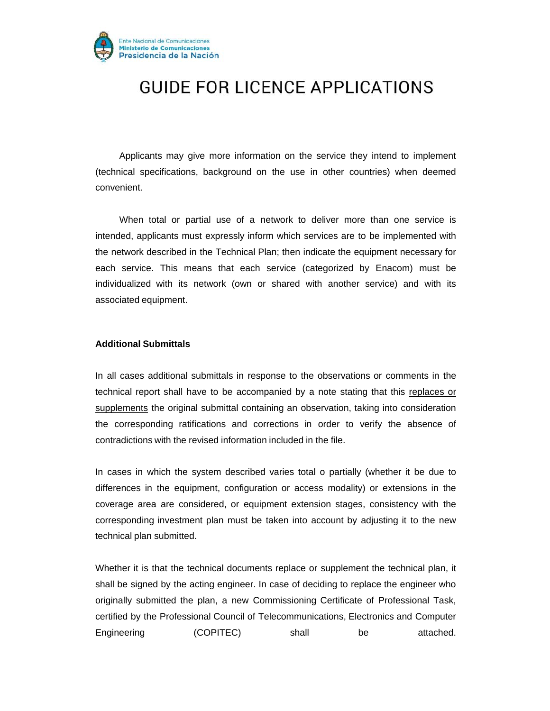

Applicants may give more information on the service they intend to implement (technical specifications, background on the use in other countries) when deemed convenient.

When total or partial use of a network to deliver more than one service is intended, applicants must expressly inform which services are to be implemented with the network described in the Technical Plan; then indicate the equipment necessary for each service. This means that each service (categorized by Enacom) must be individualized with its network (own or shared with another service) and with its associated equipment.

#### **Additional Submittals**

In all cases additional submittals in response to the observations or comments in the technical report shall have to be accompanied by a note stating that this replaces or supplements the original submittal containing an observation, taking into consideration the corresponding ratifications and corrections in order to verify the absence of contradictions with the revised information included in the file.

In cases in which the system described varies total o partially (whether it be due to differences in the equipment, configuration or access modality) or extensions in the coverage area are considered, or equipment extension stages, consistency with the corresponding investment plan must be taken into account by adjusting it to the new technical plan submitted.

Whether it is that the technical documents replace or supplement the technical plan, it shall be signed by the acting engineer. In case of deciding to replace the engineer who originally submitted the plan, a new Commissioning Certificate of Professional Task, certified by the Professional Council of Telecommunications, Electronics and Computer Engineering (COPITEC) shall be attached.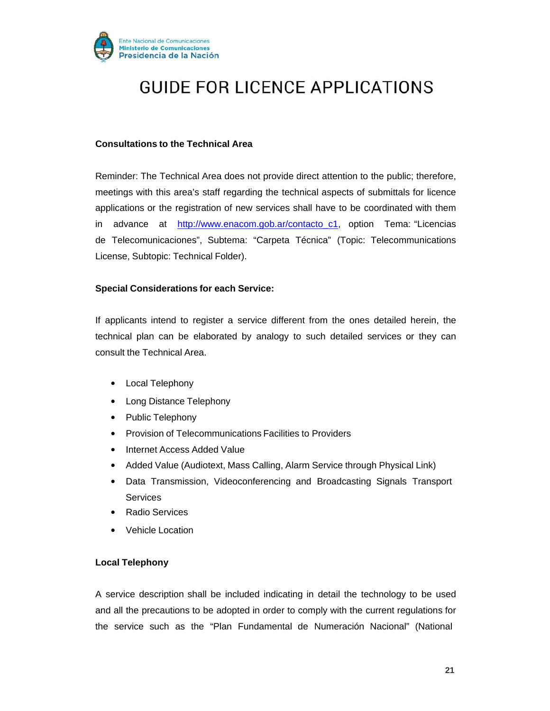

#### **Consultations to the Technical Area**

Reminder: The Technical Area does not provide direct attention to the public; therefore, meetings with this area's staff regarding the technical aspects of submittals for licence applications or the registration of new services shall have to be coordinated with them in advance at http://www.enacom.gob.ar/contacto\_c1, option Tema: "Licencias de Telecomunicaciones", Subtema: "Carpeta Técnica" (Topic: Telecommunications License, Subtopic: Technical Folder).

#### **Special Considerations for each Service:**

If applicants intend to register a service different from the ones detailed herein, the technical plan can be elaborated by analogy to such detailed services or they can consult the Technical Area.

- Local Telephony
- Long Distance Telephony
- Public Telephony
- Provision of Telecommunications Facilities to Providers
- Internet Access Added Value
- Added Value (Audiotext, Mass Calling, Alarm Service through Physical Link)
- Data Transmission, Videoconferencing and Broadcasting Signals Transport **Services**
- Radio Services
- Vehicle Location

#### **Local Telephony**

A service description shall be included indicating in detail the technology to be used and all the precautions to be adopted in order to comply with the current regulations for the service such as the "Plan Fundamental de Numeración Nacional" (National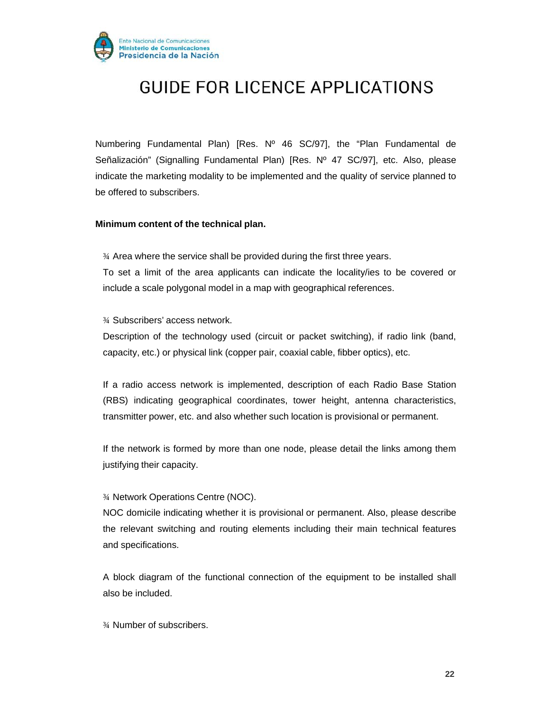

Numbering Fundamental Plan) [Res. Nº 46 SC/97], the "Plan Fundamental de Señalización" (Signalling Fundamental Plan) [Res. Nº 47 SC/97], etc. Also, please indicate the marketing modality to be implemented and the quality of service planned to be offered to subscribers.

#### **Minimum content of the technical plan.**

¾ Area where the service shall be provided during the first three years. To set a limit of the area applicants can indicate the locality/ies to be covered or include a scale polygonal model in a map with geographical references.

¾ Subscribers' access network.

Description of the technology used (circuit or packet switching), if radio link (band, capacity, etc.) or physical link (copper pair, coaxial cable, fibber optics), etc.

If a radio access network is implemented, description of each Radio Base Station (RBS) indicating geographical coordinates, tower height, antenna characteristics, transmitter power, etc. and also whether such location is provisional or permanent.

If the network is formed by more than one node, please detail the links among them justifying their capacity.

#### ¾ Network Operations Centre (NOC).

NOC domicile indicating whether it is provisional or permanent. Also, please describe the relevant switching and routing elements including their main technical features and specifications.

A block diagram of the functional connection of the equipment to be installed shall also be included.

¾ Number of subscribers.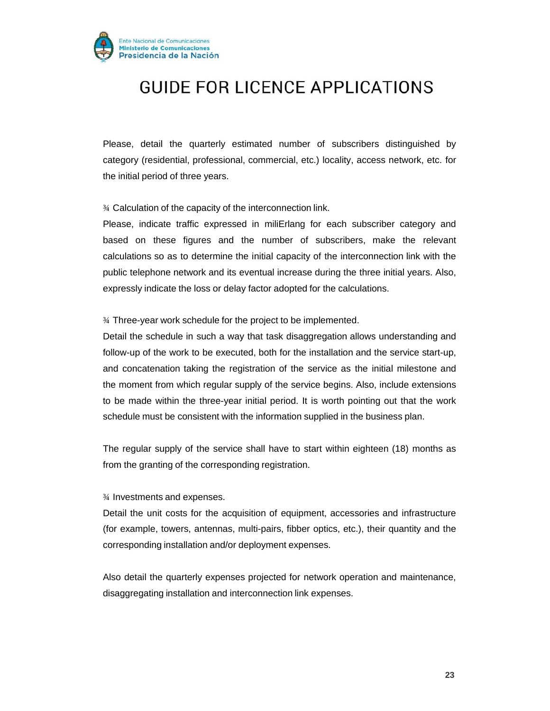

Please, detail the quarterly estimated number of subscribers distinguished by category (residential, professional, commercial, etc.) locality, access network, etc. for the initial period of three years.

¾ Calculation of the capacity of the interconnection link.

Please, indicate traffic expressed in miliErlang for each subscriber category and based on these figures and the number of subscribers, make the relevant calculations so as to determine the initial capacity of the interconnection link with the public telephone network and its eventual increase during the three initial years. Also, expressly indicate the loss or delay factor adopted for the calculations.

¾ Three-year work schedule for the project to be implemented.

Detail the schedule in such a way that task disaggregation allows understanding and follow-up of the work to be executed, both for the installation and the service start-up, and concatenation taking the registration of the service as the initial milestone and the moment from which regular supply of the service begins. Also, include extensions to be made within the three-year initial period. It is worth pointing out that the work schedule must be consistent with the information supplied in the business plan.

The regular supply of the service shall have to start within eighteen (18) months as from the granting of the corresponding registration.

¾ Investments and expenses.

Detail the unit costs for the acquisition of equipment, accessories and infrastructure (for example, towers, antennas, multi-pairs, fibber optics, etc.), their quantity and the corresponding installation and/or deployment expenses.

Also detail the quarterly expenses projected for network operation and maintenance, disaggregating installation and interconnection link expenses.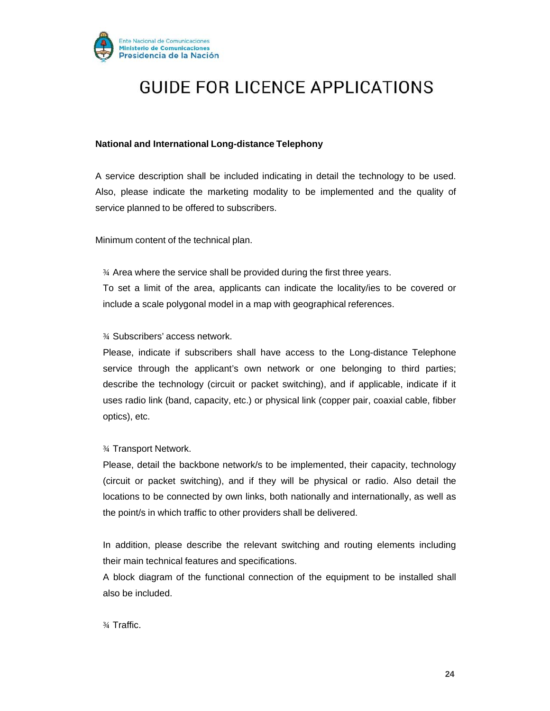

#### **National and International Long-distance Telephony**

A service description shall be included indicating in detail the technology to be used. Also, please indicate the marketing modality to be implemented and the quality of service planned to be offered to subscribers.

Minimum content of the technical plan.

¾ Area where the service shall be provided during the first three years. To set a limit of the area, applicants can indicate the locality/ies to be covered or include a scale polygonal model in a map with geographical references.

¾ Subscribers' access network.

Please, indicate if subscribers shall have access to the Long-distance Telephone service through the applicant's own network or one belonging to third parties; describe the technology (circuit or packet switching), and if applicable, indicate if it uses radio link (band, capacity, etc.) or physical link (copper pair, coaxial cable, fibber optics), etc.

¾ Transport Network.

Please, detail the backbone network/s to be implemented, their capacity, technology (circuit or packet switching), and if they will be physical or radio. Also detail the locations to be connected by own links, both nationally and internationally, as well as the point/s in which traffic to other providers shall be delivered.

In addition, please describe the relevant switching and routing elements including their main technical features and specifications.

A block diagram of the functional connection of the equipment to be installed shall also be included.

¾ Traffic.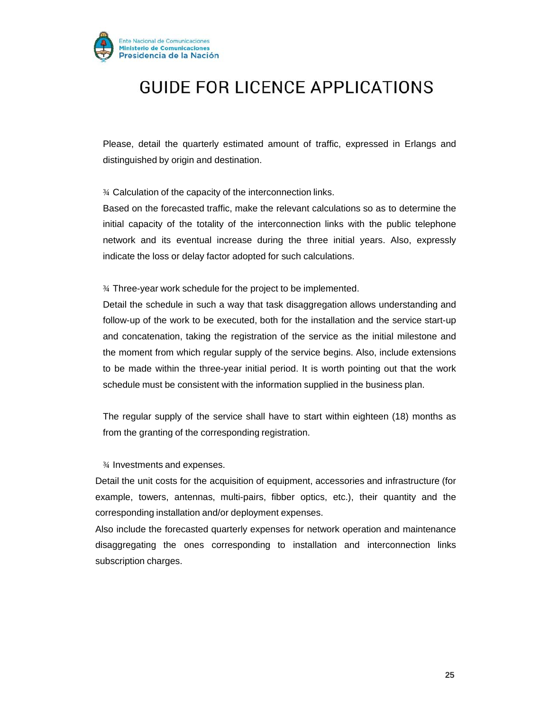

Please, detail the quarterly estimated amount of traffic, expressed in Erlangs and distinguished by origin and destination.

¾ Calculation of the capacity of the interconnection links.

Based on the forecasted traffic, make the relevant calculations so as to determine the initial capacity of the totality of the interconnection links with the public telephone network and its eventual increase during the three initial years. Also, expressly indicate the loss or delay factor adopted for such calculations.

¾ Three-year work schedule for the project to be implemented.

Detail the schedule in such a way that task disaggregation allows understanding and follow-up of the work to be executed, both for the installation and the service start-up and concatenation, taking the registration of the service as the initial milestone and the moment from which regular supply of the service begins. Also, include extensions to be made within the three-year initial period. It is worth pointing out that the work schedule must be consistent with the information supplied in the business plan.

The regular supply of the service shall have to start within eighteen (18) months as from the granting of the corresponding registration.

¾ Investments and expenses.

Detail the unit costs for the acquisition of equipment, accessories and infrastructure (for example, towers, antennas, multi-pairs, fibber optics, etc.), their quantity and the corresponding installation and/or deployment expenses.

Also include the forecasted quarterly expenses for network operation and maintenance disaggregating the ones corresponding to installation and interconnection links subscription charges.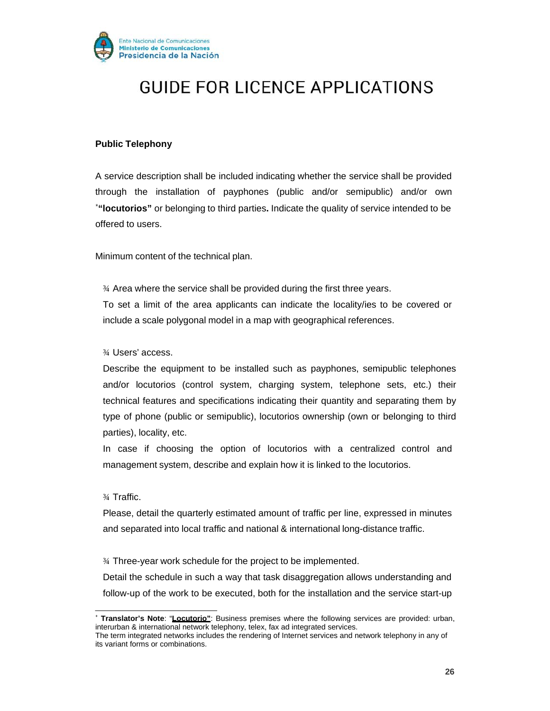

#### **Public Telephony**

A service description shall be included indicating whether the service shall be provided through the installation of payphones (public and/or semipublic) and/or own ∗ **"locutorios"** or belonging to third parties**.** Indicate the quality of service intended to be offered to users.

Minimum content of the technical plan.

¾ Area where the service shall be provided during the first three years. To set a limit of the area applicants can indicate the locality/ies to be covered or include a scale polygonal model in a map with geographical references.

¾ Users' access.

Describe the equipment to be installed such as payphones, semipublic telephones and/or locutorios (control system, charging system, telephone sets, etc.) their technical features and specifications indicating their quantity and separating them by type of phone (public or semipublic), locutorios ownership (own or belonging to third parties), locality, etc.

In case if choosing the option of locutorios with a centralized control and management system, describe and explain how it is linked to the locutorios.

¾ Traffic.

Please, detail the quarterly estimated amount of traffic per line, expressed in minutes and separated into local traffic and national & international long-distance traffic.

¾ Three-year work schedule for the project to be implemented.

Detail the schedule in such a way that task disaggregation allows understanding and follow-up of the work to be executed, both for the installation and the service start-up

<sup>∗</sup>**Translator's Note**: "**Locutorio"**: Business premises where the following services are provided: urban, interurban & international network telephony, telex, fax ad integrated services.

The term integrated networks includes the rendering of Internet services and network telephony in any of its variant forms or combinations.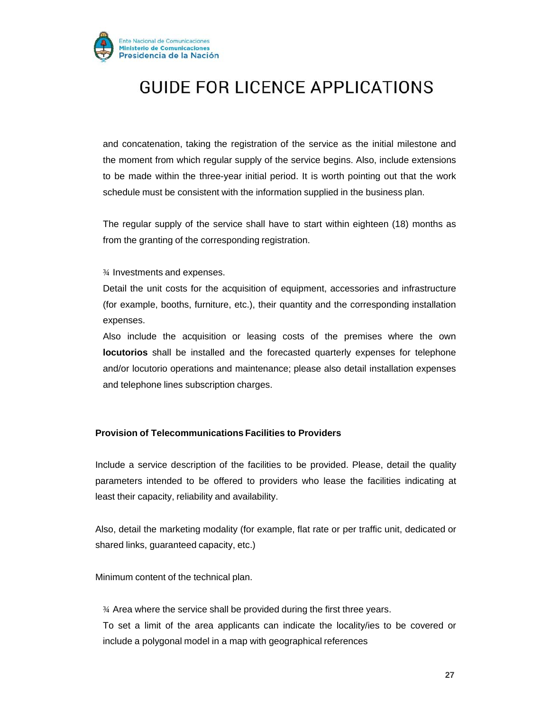

and concatenation, taking the registration of the service as the initial milestone and the moment from which regular supply of the service begins. Also, include extensions to be made within the three-year initial period. It is worth pointing out that the work schedule must be consistent with the information supplied in the business plan.

The regular supply of the service shall have to start within eighteen (18) months as from the granting of the corresponding registration.

¾ Investments and expenses.

Detail the unit costs for the acquisition of equipment, accessories and infrastructure (for example, booths, furniture, etc.), their quantity and the corresponding installation expenses.

Also include the acquisition or leasing costs of the premises where the own **locutorios** shall be installed and the forecasted quarterly expenses for telephone and/or locutorio operations and maintenance; please also detail installation expenses and telephone lines subscription charges.

#### **Provision of Telecommunications Facilities to Providers**

Include a service description of the facilities to be provided. Please, detail the quality parameters intended to be offered to providers who lease the facilities indicating at least their capacity, reliability and availability.

Also, detail the marketing modality (for example, flat rate or per traffic unit, dedicated or shared links, guaranteed capacity, etc.)

Minimum content of the technical plan.

¾ Area where the service shall be provided during the first three years. To set a limit of the area applicants can indicate the locality/ies to be covered or include a polygonal model in a map with geographical references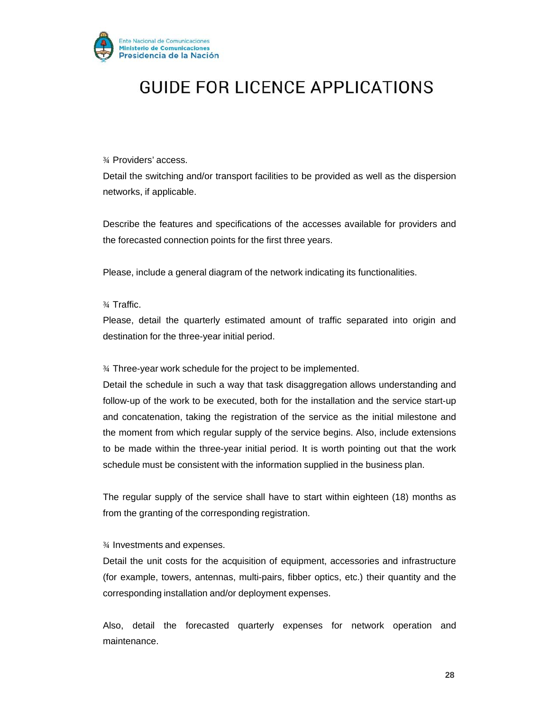

¾ Providers' access.

Detail the switching and/or transport facilities to be provided as well as the dispersion networks, if applicable.

Describe the features and specifications of the accesses available for providers and the forecasted connection points for the first three years.

Please, include a general diagram of the network indicating its functionalities.

#### ¾ Traffic.

Please, detail the quarterly estimated amount of traffic separated into origin and destination for the three-year initial period.

¾ Three-year work schedule for the project to be implemented.

Detail the schedule in such a way that task disaggregation allows understanding and follow-up of the work to be executed, both for the installation and the service start-up and concatenation, taking the registration of the service as the initial milestone and the moment from which regular supply of the service begins. Also, include extensions to be made within the three-year initial period. It is worth pointing out that the work schedule must be consistent with the information supplied in the business plan.

The regular supply of the service shall have to start within eighteen (18) months as from the granting of the corresponding registration.

#### ¾ Investments and expenses.

Detail the unit costs for the acquisition of equipment, accessories and infrastructure (for example, towers, antennas, multi-pairs, fibber optics, etc.) their quantity and the corresponding installation and/or deployment expenses.

Also, detail the forecasted quarterly expenses for network operation and maintenance.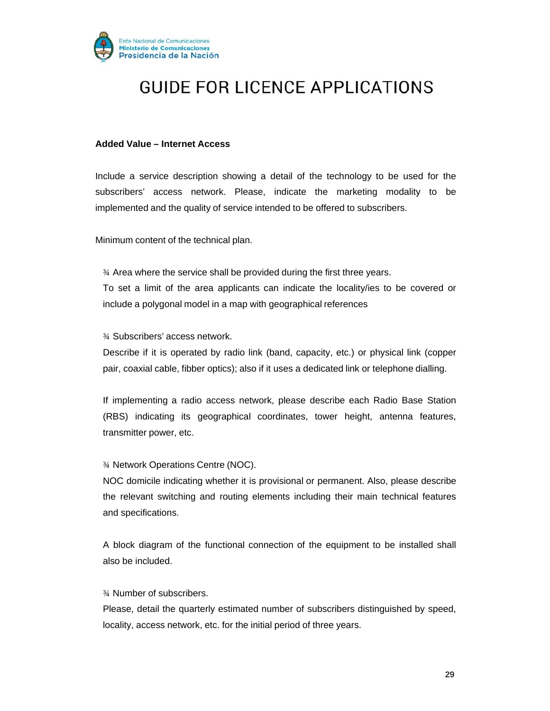

#### **Added Value – Internet Access**

Include a service description showing a detail of the technology to be used for the subscribers' access network. Please, indicate the marketing modality to be implemented and the quality of service intended to be offered to subscribers.

Minimum content of the technical plan.

¾ Area where the service shall be provided during the first three years. To set a limit of the area applicants can indicate the locality/ies to be covered or include a polygonal model in a map with geographical references

¾ Subscribers' access network.

Describe if it is operated by radio link (band, capacity, etc.) or physical link (copper pair, coaxial cable, fibber optics); also if it uses a dedicated link or telephone dialling.

If implementing a radio access network, please describe each Radio Base Station (RBS) indicating its geographical coordinates, tower height, antenna features, transmitter power, etc.

¾ Network Operations Centre (NOC).

NOC domicile indicating whether it is provisional or permanent. Also, please describe the relevant switching and routing elements including their main technical features and specifications.

A block diagram of the functional connection of the equipment to be installed shall also be included.

¾ Number of subscribers.

Please, detail the quarterly estimated number of subscribers distinguished by speed, locality, access network, etc. for the initial period of three years.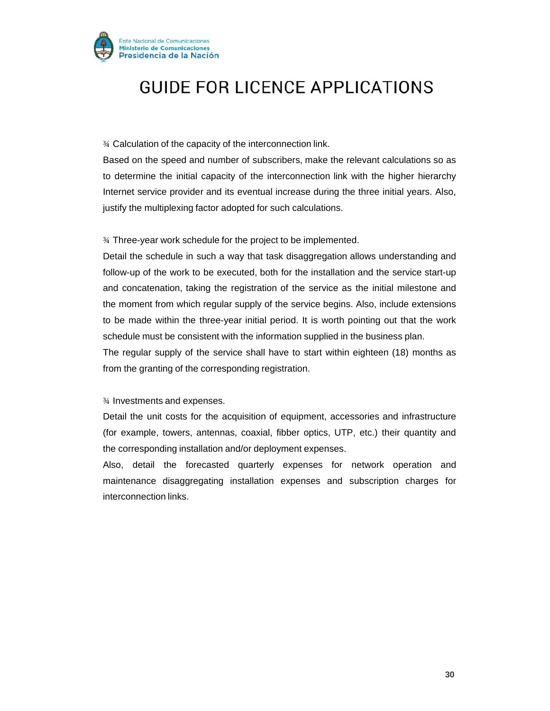

¾ Calculation of the capacity of the interconnection link.

Based on the speed and number of subscribers, make the relevant calculations so as to determine the initial capacity of the interconnection link with the higher hierarchy Internet service provider and its eventual increase during the three initial years. Also, justify the multiplexing factor adopted for such calculations.

¾ Three-year work schedule for the project to be implemented.

Detail the schedule in such a way that task disaggregation allows understanding and follow-up of the work to be executed, both for the installation and the service start-up and concatenation, taking the registration of the service as the initial milestone and the moment from which regular supply of the service begins. Also, include extensions to be made within the three-year initial period. It is worth pointing out that the work schedule must be consistent with the information supplied in the business plan.

The regular supply of the service shall have to start within eighteen (18) months as from the granting of the corresponding registration.

¾ Investments and expenses.

Detail the unit costs for the acquisition of equipment, accessories and infrastructure (for example, towers, antennas, coaxial, fibber optics, UTP, etc.) their quantity and the corresponding installation and/or deployment expenses.

Also, detail the forecasted quarterly expenses for network operation and maintenance disaggregating installation expenses and subscription charges for interconnection links.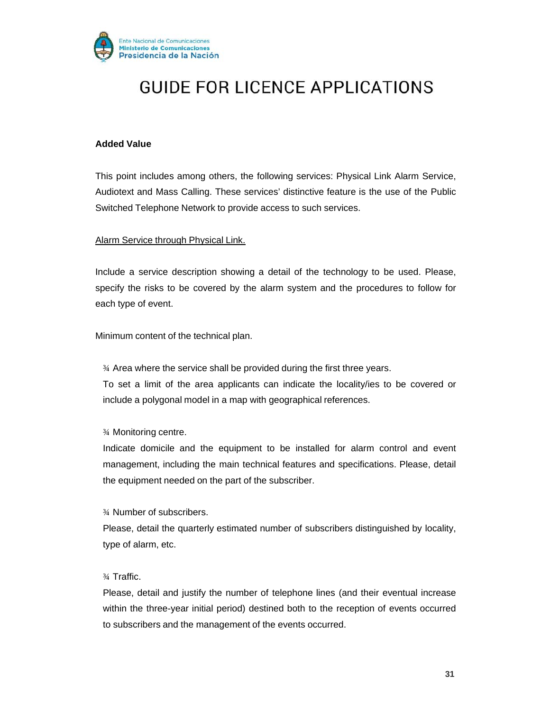

#### **Added Value**

This point includes among others, the following services: Physical Link Alarm Service, Audiotext and Mass Calling. These services' distinctive feature is the use of the Public Switched Telephone Network to provide access to such services.

#### Alarm Service through Physical Link.

Include a service description showing a detail of the technology to be used. Please, specify the risks to be covered by the alarm system and the procedures to follow for each type of event.

Minimum content of the technical plan.

¾ Area where the service shall be provided during the first three years. To set a limit of the area applicants can indicate the locality/ies to be covered or include a polygonal model in a map with geographical references.

¾ Monitoring centre.

Indicate domicile and the equipment to be installed for alarm control and event management, including the main technical features and specifications. Please, detail the equipment needed on the part of the subscriber.

¾ Number of subscribers.

Please, detail the quarterly estimated number of subscribers distinguished by locality, type of alarm, etc.

#### ¾ Traffic.

Please, detail and justify the number of telephone lines (and their eventual increase within the three-year initial period) destined both to the reception of events occurred to subscribers and the management of the events occurred.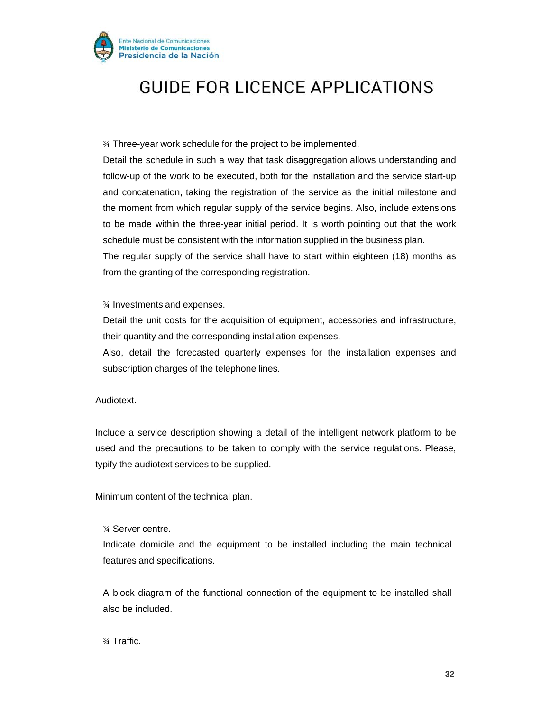

¾ Three-year work schedule for the project to be implemented.

Detail the schedule in such a way that task disaggregation allows understanding and follow-up of the work to be executed, both for the installation and the service start-up and concatenation, taking the registration of the service as the initial milestone and the moment from which regular supply of the service begins. Also, include extensions to be made within the three-year initial period. It is worth pointing out that the work schedule must be consistent with the information supplied in the business plan.

The regular supply of the service shall have to start within eighteen (18) months as from the granting of the corresponding registration.

¾ Investments and expenses.

Detail the unit costs for the acquisition of equipment, accessories and infrastructure, their quantity and the corresponding installation expenses.

Also, detail the forecasted quarterly expenses for the installation expenses and subscription charges of the telephone lines.

#### Audiotext.

Include a service description showing a detail of the intelligent network platform to be used and the precautions to be taken to comply with the service regulations. Please, typify the audiotext services to be supplied.

Minimum content of the technical plan.

¾ Server centre.

Indicate domicile and the equipment to be installed including the main technical features and specifications.

A block diagram of the functional connection of the equipment to be installed shall also be included.

¾ Traffic.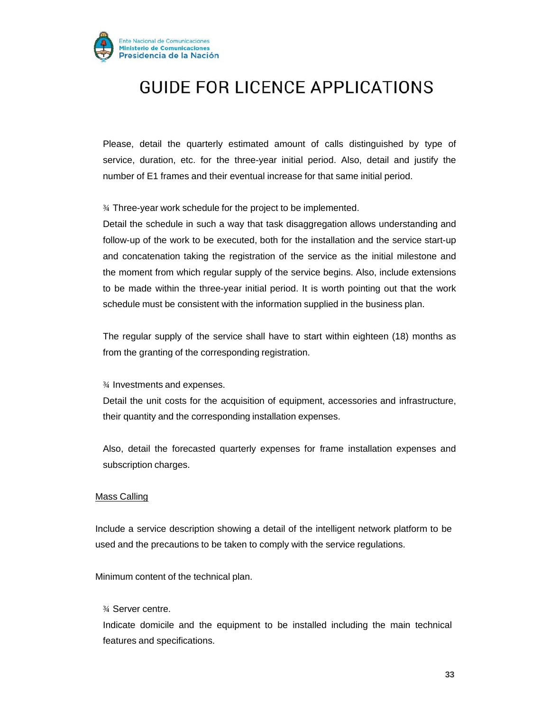

Please, detail the quarterly estimated amount of calls distinguished by type of service, duration, etc. for the three-year initial period. Also, detail and justify the number of E1 frames and their eventual increase for that same initial period.

¾ Three-year work schedule for the project to be implemented.

Detail the schedule in such a way that task disaggregation allows understanding and follow-up of the work to be executed, both for the installation and the service start-up and concatenation taking the registration of the service as the initial milestone and the moment from which regular supply of the service begins. Also, include extensions to be made within the three-year initial period. It is worth pointing out that the work schedule must be consistent with the information supplied in the business plan.

The regular supply of the service shall have to start within eighteen (18) months as from the granting of the corresponding registration.

¾ Investments and expenses.

Detail the unit costs for the acquisition of equipment, accessories and infrastructure, their quantity and the corresponding installation expenses.

Also, detail the forecasted quarterly expenses for frame installation expenses and subscription charges.

#### Mass Calling

Include a service description showing a detail of the intelligent network platform to be used and the precautions to be taken to comply with the service regulations.

Minimum content of the technical plan.

¾ Server centre.

Indicate domicile and the equipment to be installed including the main technical features and specifications.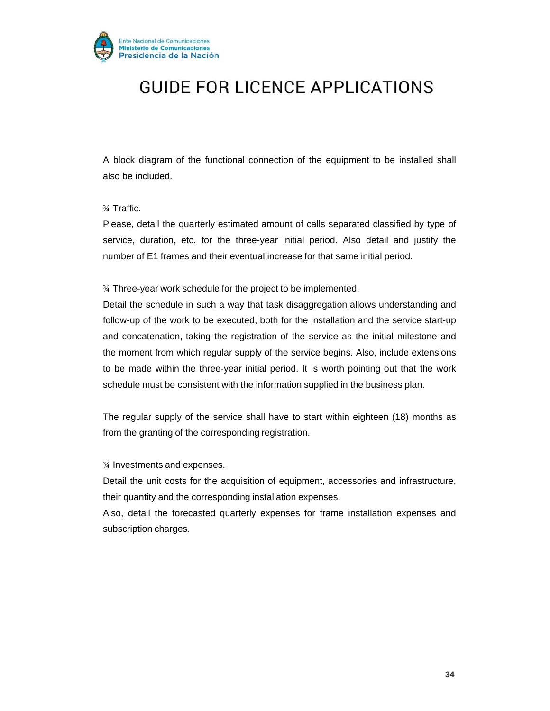

A block diagram of the functional connection of the equipment to be installed shall also be included.

¾ Traffic.

Please, detail the quarterly estimated amount of calls separated classified by type of service, duration, etc. for the three-year initial period. Also detail and justify the number of E1 frames and their eventual increase for that same initial period.

¾ Three-year work schedule for the project to be implemented.

Detail the schedule in such a way that task disaggregation allows understanding and follow-up of the work to be executed, both for the installation and the service start-up and concatenation, taking the registration of the service as the initial milestone and the moment from which regular supply of the service begins. Also, include extensions to be made within the three-year initial period. It is worth pointing out that the work schedule must be consistent with the information supplied in the business plan.

The regular supply of the service shall have to start within eighteen (18) months as from the granting of the corresponding registration.

¾ Investments and expenses.

Detail the unit costs for the acquisition of equipment, accessories and infrastructure, their quantity and the corresponding installation expenses.

Also, detail the forecasted quarterly expenses for frame installation expenses and subscription charges.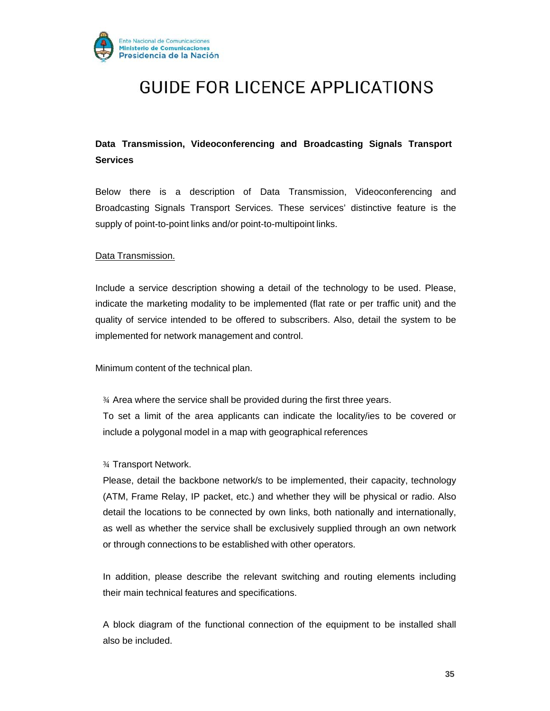

### **Data Transmission, Videoconferencing and Broadcasting Signals Transport Services**

Below there is a description of Data Transmission, Videoconferencing and Broadcasting Signals Transport Services. These services' distinctive feature is the supply of point-to-point links and/or point-to-multipoint links.

#### Data Transmission.

Include a service description showing a detail of the technology to be used. Please, indicate the marketing modality to be implemented (flat rate or per traffic unit) and the quality of service intended to be offered to subscribers. Also, detail the system to be implemented for network management and control.

Minimum content of the technical plan.

¾ Area where the service shall be provided during the first three years. To set a limit of the area applicants can indicate the locality/ies to be covered or include a polygonal model in a map with geographical references

¾ Transport Network.

Please, detail the backbone network/s to be implemented, their capacity, technology (ATM, Frame Relay, IP packet, etc.) and whether they will be physical or radio. Also detail the locations to be connected by own links, both nationally and internationally, as well as whether the service shall be exclusively supplied through an own network or through connections to be established with other operators.

In addition, please describe the relevant switching and routing elements including their main technical features and specifications.

A block diagram of the functional connection of the equipment to be installed shall also be included.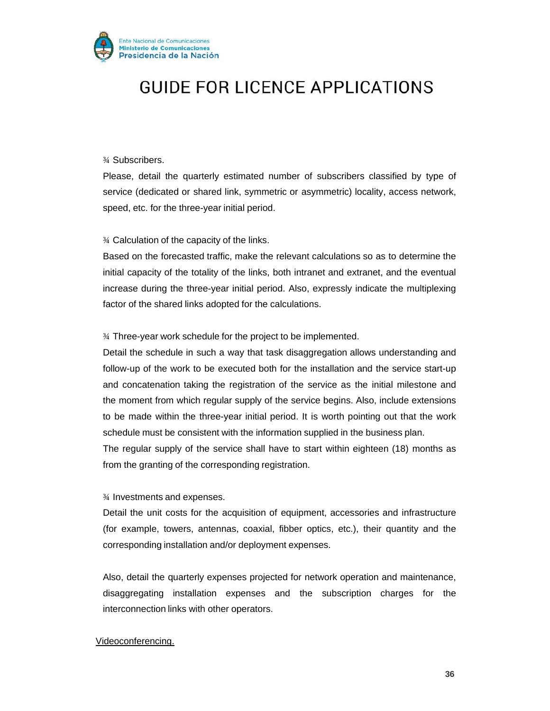

#### ¾ Subscribers.

Please, detail the quarterly estimated number of subscribers classified by type of service (dedicated or shared link, symmetric or asymmetric) locality, access network, speed, etc. for the three-year initial period.

¾ Calculation of the capacity of the links.

Based on the forecasted traffic, make the relevant calculations so as to determine the initial capacity of the totality of the links, both intranet and extranet, and the eventual increase during the three-year initial period. Also, expressly indicate the multiplexing factor of the shared links adopted for the calculations.

¾ Three-year work schedule for the project to be implemented.

Detail the schedule in such a way that task disaggregation allows understanding and follow-up of the work to be executed both for the installation and the service start-up and concatenation taking the registration of the service as the initial milestone and the moment from which regular supply of the service begins. Also, include extensions to be made within the three-year initial period. It is worth pointing out that the work schedule must be consistent with the information supplied in the business plan.

The regular supply of the service shall have to start within eighteen (18) months as from the granting of the corresponding registration.

#### ¾ Investments and expenses.

Detail the unit costs for the acquisition of equipment, accessories and infrastructure (for example, towers, antennas, coaxial, fibber optics, etc.), their quantity and the corresponding installation and/or deployment expenses.

Also, detail the quarterly expenses projected for network operation and maintenance, disaggregating installation expenses and the subscription charges for the interconnection links with other operators.

#### Videoconferencing.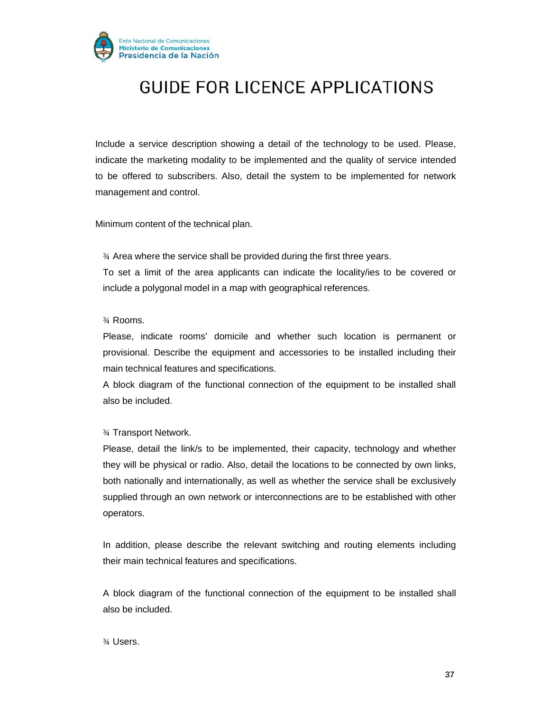

Include a service description showing a detail of the technology to be used. Please, indicate the marketing modality to be implemented and the quality of service intended to be offered to subscribers. Also, detail the system to be implemented for network management and control.

Minimum content of the technical plan.

¾ Area where the service shall be provided during the first three years.

To set a limit of the area applicants can indicate the locality/ies to be covered or include a polygonal model in a map with geographical references.

#### ¾ Rooms.

Please, indicate rooms' domicile and whether such location is permanent or provisional. Describe the equipment and accessories to be installed including their main technical features and specifications.

A block diagram of the functional connection of the equipment to be installed shall also be included.

#### ¾ Transport Network.

Please, detail the link/s to be implemented, their capacity, technology and whether they will be physical or radio. Also, detail the locations to be connected by own links, both nationally and internationally, as well as whether the service shall be exclusively supplied through an own network or interconnections are to be established with other operators.

In addition, please describe the relevant switching and routing elements including their main technical features and specifications.

A block diagram of the functional connection of the equipment to be installed shall also be included.

¾ Users.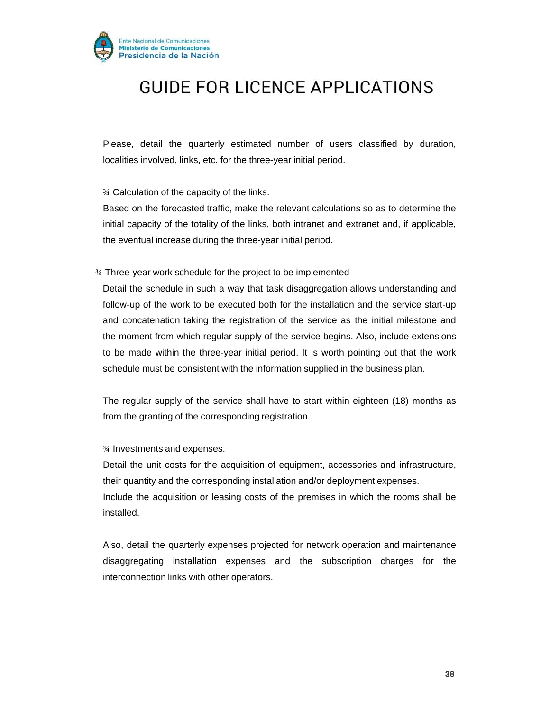

Please, detail the quarterly estimated number of users classified by duration, localities involved, links, etc. for the three-year initial period.

¾ Calculation of the capacity of the links.

Based on the forecasted traffic, make the relevant calculations so as to determine the initial capacity of the totality of the links, both intranet and extranet and, if applicable, the eventual increase during the three-year initial period.

¾ Three-year work schedule for the project to be implemented

Detail the schedule in such a way that task disaggregation allows understanding and follow-up of the work to be executed both for the installation and the service start-up and concatenation taking the registration of the service as the initial milestone and the moment from which regular supply of the service begins. Also, include extensions to be made within the three-year initial period. It is worth pointing out that the work schedule must be consistent with the information supplied in the business plan.

The regular supply of the service shall have to start within eighteen (18) months as from the granting of the corresponding registration.

¾ Investments and expenses.

Detail the unit costs for the acquisition of equipment, accessories and infrastructure, their quantity and the corresponding installation and/or deployment expenses. Include the acquisition or leasing costs of the premises in which the rooms shall be installed.

Also, detail the quarterly expenses projected for network operation and maintenance disaggregating installation expenses and the subscription charges for the interconnection links with other operators.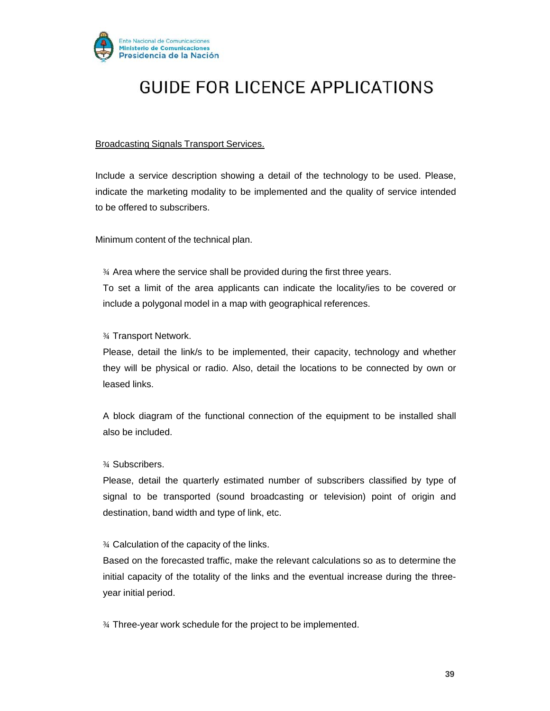

#### Broadcasting Signals Transport Services.

Include a service description showing a detail of the technology to be used. Please, indicate the marketing modality to be implemented and the quality of service intended to be offered to subscribers.

Minimum content of the technical plan.

¾ Area where the service shall be provided during the first three years. To set a limit of the area applicants can indicate the locality/ies to be covered or include a polygonal model in a map with geographical references.

#### ¾ Transport Network.

Please, detail the link/s to be implemented, their capacity, technology and whether they will be physical or radio. Also, detail the locations to be connected by own or leased links.

A block diagram of the functional connection of the equipment to be installed shall also be included.

#### ¾ Subscribers.

Please, detail the quarterly estimated number of subscribers classified by type of signal to be transported (sound broadcasting or television) point of origin and destination, band width and type of link, etc.

#### ¾ Calculation of the capacity of the links.

Based on the forecasted traffic, make the relevant calculations so as to determine the initial capacity of the totality of the links and the eventual increase during the threeyear initial period.

¾ Three-year work schedule for the project to be implemented.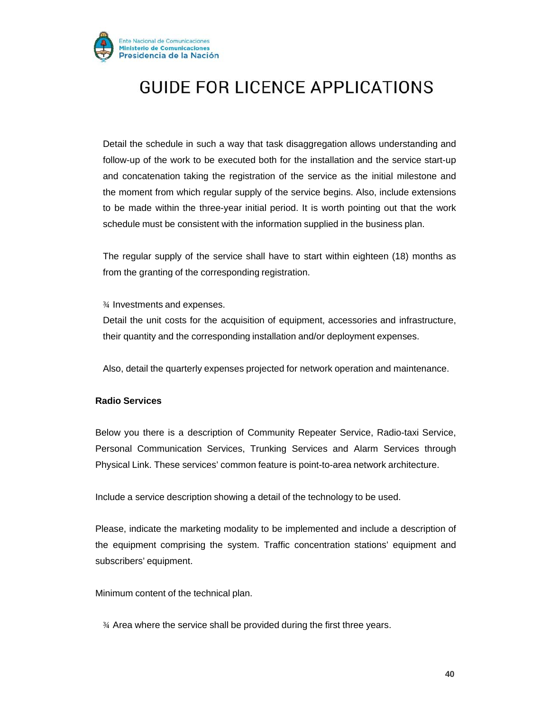

Detail the schedule in such a way that task disaggregation allows understanding and follow-up of the work to be executed both for the installation and the service start-up and concatenation taking the registration of the service as the initial milestone and the moment from which regular supply of the service begins. Also, include extensions to be made within the three-year initial period. It is worth pointing out that the work schedule must be consistent with the information supplied in the business plan.

The regular supply of the service shall have to start within eighteen (18) months as from the granting of the corresponding registration.

¾ Investments and expenses.

Detail the unit costs for the acquisition of equipment, accessories and infrastructure, their quantity and the corresponding installation and/or deployment expenses.

Also, detail the quarterly expenses projected for network operation and maintenance.

#### **Radio Services**

Below you there is a description of Community Repeater Service, Radio-taxi Service, Personal Communication Services, Trunking Services and Alarm Services through Physical Link. These services' common feature is point-to-area network architecture.

Include a service description showing a detail of the technology to be used.

Please, indicate the marketing modality to be implemented and include a description of the equipment comprising the system. Traffic concentration stations' equipment and subscribers' equipment.

Minimum content of the technical plan.

¾ Area where the service shall be provided during the first three years.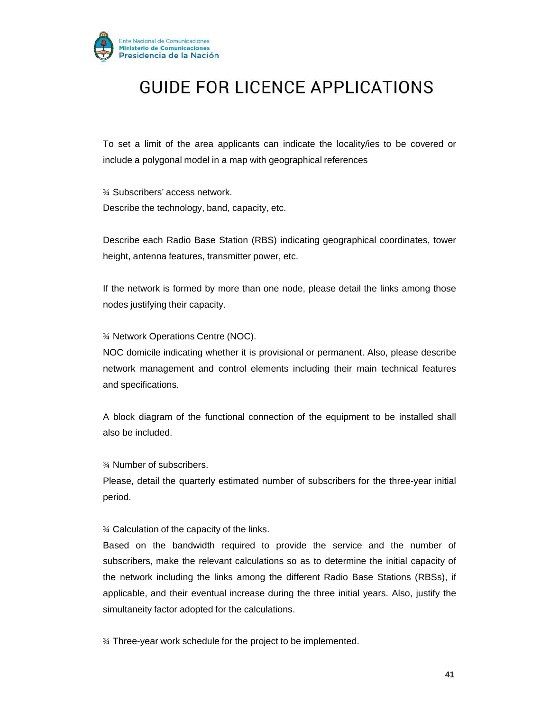

To set a limit of the area applicants can indicate the locality/ies to be covered or include a polygonal model in a map with geographical references

¾ Subscribers' access network. Describe the technology, band, capacity, etc.

Describe each Radio Base Station (RBS) indicating geographical coordinates, tower height, antenna features, transmitter power, etc.

If the network is formed by more than one node, please detail the links among those nodes justifying their capacity.

¾ Network Operations Centre (NOC).

NOC domicile indicating whether it is provisional or permanent. Also, please describe network management and control elements including their main technical features and specifications.

A block diagram of the functional connection of the equipment to be installed shall also be included.

¾ Number of subscribers.

Please, detail the quarterly estimated number of subscribers for the three-year initial period.

¾ Calculation of the capacity of the links.

Based on the bandwidth required to provide the service and the number of subscribers, make the relevant calculations so as to determine the initial capacity of the network including the links among the different Radio Base Stations (RBSs), if applicable, and their eventual increase during the three initial years. Also, justify the simultaneity factor adopted for the calculations.

¾ Three-year work schedule for the project to be implemented.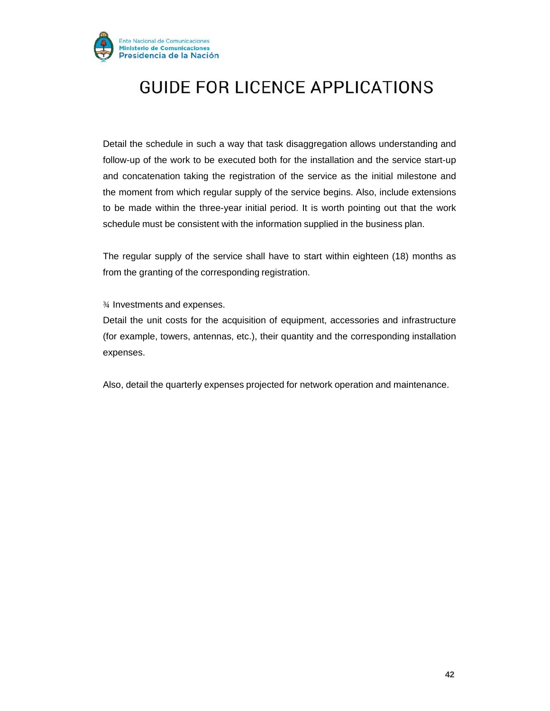

Detail the schedule in such a way that task disaggregation allows understanding and follow-up of the work to be executed both for the installation and the service start-up and concatenation taking the registration of the service as the initial milestone and the moment from which regular supply of the service begins. Also, include extensions to be made within the three-year initial period. It is worth pointing out that the work schedule must be consistent with the information supplied in the business plan.

The regular supply of the service shall have to start within eighteen (18) months as from the granting of the corresponding registration.

#### ¾ Investments and expenses.

Detail the unit costs for the acquisition of equipment, accessories and infrastructure (for example, towers, antennas, etc.), their quantity and the corresponding installation expenses.

Also, detail the quarterly expenses projected for network operation and maintenance.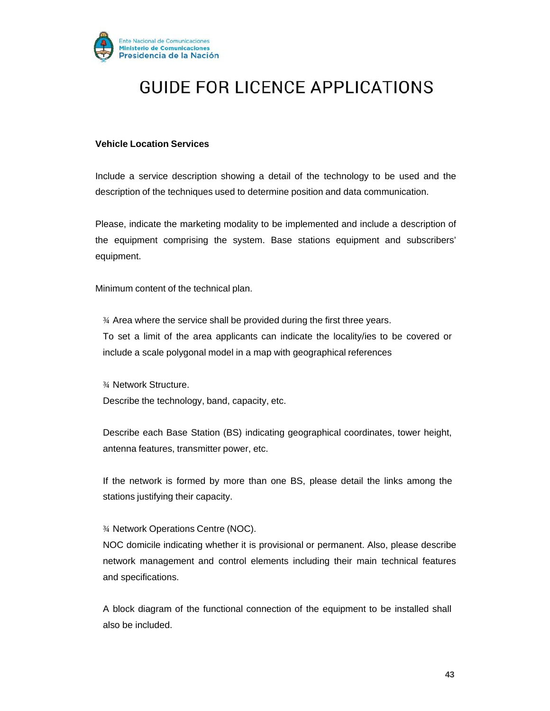

#### **Vehicle Location Services**

Include a service description showing a detail of the technology to be used and the description of the techniques used to determine position and data communication.

Please, indicate the marketing modality to be implemented and include a description of the equipment comprising the system. Base stations equipment and subscribers' equipment.

Minimum content of the technical plan.

¾ Area where the service shall be provided during the first three years. To set a limit of the area applicants can indicate the locality/ies to be covered or include a scale polygonal model in a map with geographical references

¾ Network Structure. Describe the technology, band, capacity, etc.

Describe each Base Station (BS) indicating geographical coordinates, tower height, antenna features, transmitter power, etc.

If the network is formed by more than one BS, please detail the links among the stations justifying their capacity.

#### ¾ Network Operations Centre (NOC).

NOC domicile indicating whether it is provisional or permanent. Also, please describe network management and control elements including their main technical features and specifications.

A block diagram of the functional connection of the equipment to be installed shall also be included.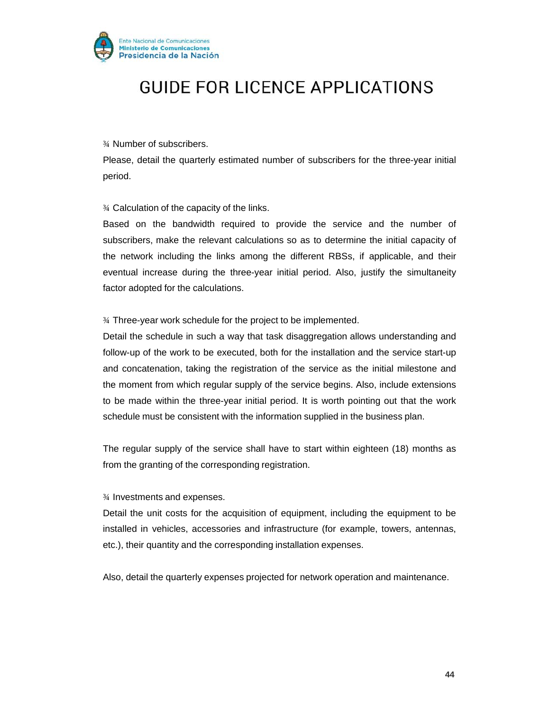

¾ Number of subscribers.

Please, detail the quarterly estimated number of subscribers for the three-year initial period.

¾ Calculation of the capacity of the links.

Based on the bandwidth required to provide the service and the number of subscribers, make the relevant calculations so as to determine the initial capacity of the network including the links among the different RBSs, if applicable, and their eventual increase during the three-year initial period. Also, justify the simultaneity factor adopted for the calculations.

¾ Three-year work schedule for the project to be implemented.

Detail the schedule in such a way that task disaggregation allows understanding and follow-up of the work to be executed, both for the installation and the service start-up and concatenation, taking the registration of the service as the initial milestone and the moment from which regular supply of the service begins. Also, include extensions to be made within the three-year initial period. It is worth pointing out that the work schedule must be consistent with the information supplied in the business plan.

The regular supply of the service shall have to start within eighteen (18) months as from the granting of the corresponding registration.

¾ Investments and expenses.

Detail the unit costs for the acquisition of equipment, including the equipment to be installed in vehicles, accessories and infrastructure (for example, towers, antennas, etc.), their quantity and the corresponding installation expenses.

Also, detail the quarterly expenses projected for network operation and maintenance.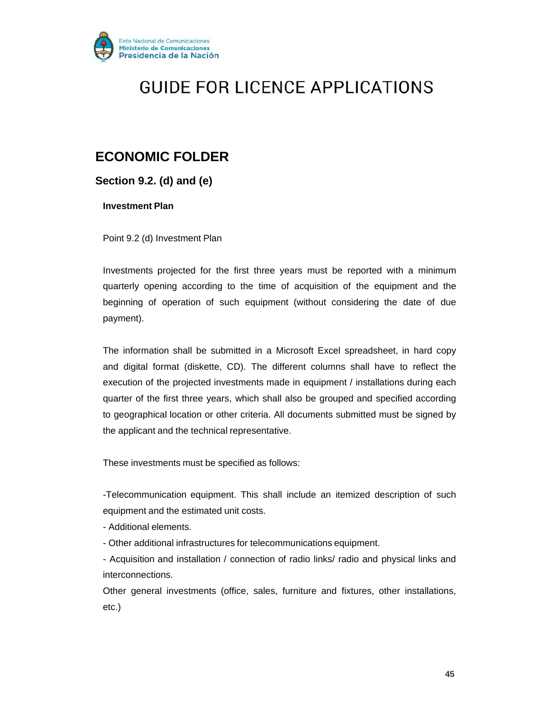

### **ECONOMIC FOLDER**

**Section 9.2. (d) and (e)**

**Investment Plan**

Point 9.2 (d) Investment Plan

Investments projected for the first three years must be reported with a minimum quarterly opening according to the time of acquisition of the equipment and the beginning of operation of such equipment (without considering the date of due payment).

The information shall be submitted in a Microsoft Excel spreadsheet, in hard copy and digital format (diskette, CD). The different columns shall have to reflect the execution of the projected investments made in equipment / installations during each quarter of the first three years, which shall also be grouped and specified according to geographical location or other criteria. All documents submitted must be signed by the applicant and the technical representative.

These investments must be specified as follows:

-Telecommunication equipment. This shall include an itemized description of such equipment and the estimated unit costs.

- Additional elements.
- Other additional infrastructures for telecommunications equipment.
- Acquisition and installation / connection of radio links/ radio and physical links and interconnections.

Other general investments (office, sales, furniture and fixtures, other installations, etc.)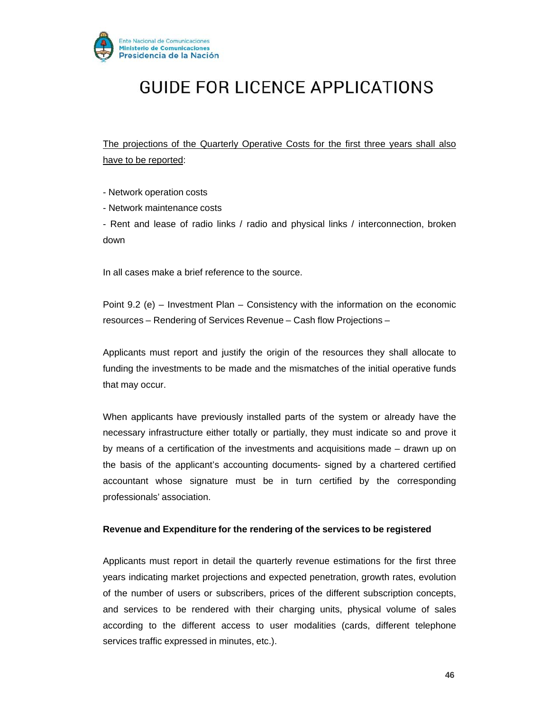

The projections of the Quarterly Operative Costs for the first three years shall also have to be reported:

- Network operation costs

- Network maintenance costs

- Rent and lease of radio links / radio and physical links / interconnection, broken down

In all cases make a brief reference to the source.

Point 9.2 (e) – Investment Plan – Consistency with the information on the economic resources – Rendering of Services Revenue – Cash flow Projections –

Applicants must report and justify the origin of the resources they shall allocate to funding the investments to be made and the mismatches of the initial operative funds that may occur.

When applicants have previously installed parts of the system or already have the necessary infrastructure either totally or partially, they must indicate so and prove it by means of a certification of the investments and acquisitions made – drawn up on the basis of the applicant's accounting documents- signed by a chartered certified accountant whose signature must be in turn certified by the corresponding professionals' association.

#### **Revenue and Expenditure for the rendering of the services to be registered**

Applicants must report in detail the quarterly revenue estimations for the first three years indicating market projections and expected penetration, growth rates, evolution of the number of users or subscribers, prices of the different subscription concepts, and services to be rendered with their charging units, physical volume of sales according to the different access to user modalities (cards, different telephone services traffic expressed in minutes, etc.).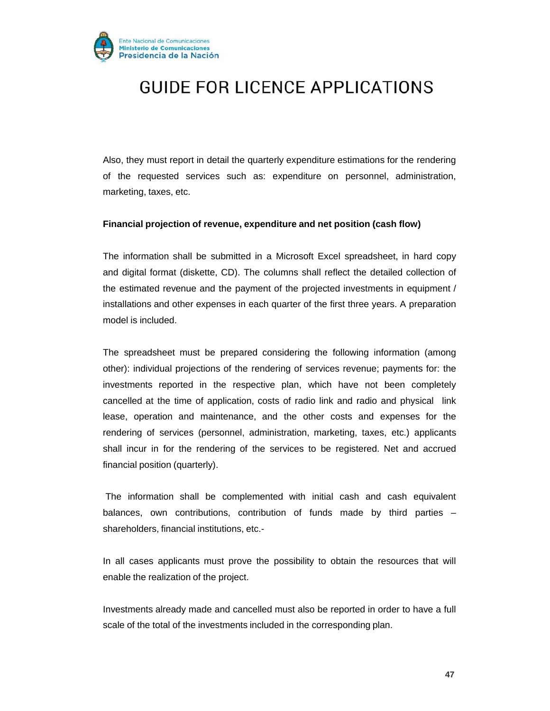

Also, they must report in detail the quarterly expenditure estimations for the rendering of the requested services such as: expenditure on personnel, administration, marketing, taxes, etc.

#### **Financial projection of revenue, expenditure and net position (cash flow)**

The information shall be submitted in a Microsoft Excel spreadsheet, in hard copy and digital format (diskette, CD). The columns shall reflect the detailed collection of the estimated revenue and the payment of the projected investments in equipment / installations and other expenses in each quarter of the first three years. A preparation model is included.

The spreadsheet must be prepared considering the following information (among other): individual projections of the rendering of services revenue; payments for: the investments reported in the respective plan, which have not been completely cancelled at the time of application, costs of radio link and radio and physical link lease, operation and maintenance, and the other costs and expenses for the rendering of services (personnel, administration, marketing, taxes, etc.) applicants shall incur in for the rendering of the services to be registered. Net and accrued financial position (quarterly).

The information shall be complemented with initial cash and cash equivalent balances, own contributions, contribution of funds made by third parties – shareholders, financial institutions, etc.-

In all cases applicants must prove the possibility to obtain the resources that will enable the realization of the project.

Investments already made and cancelled must also be reported in order to have a full scale of the total of the investments included in the corresponding plan.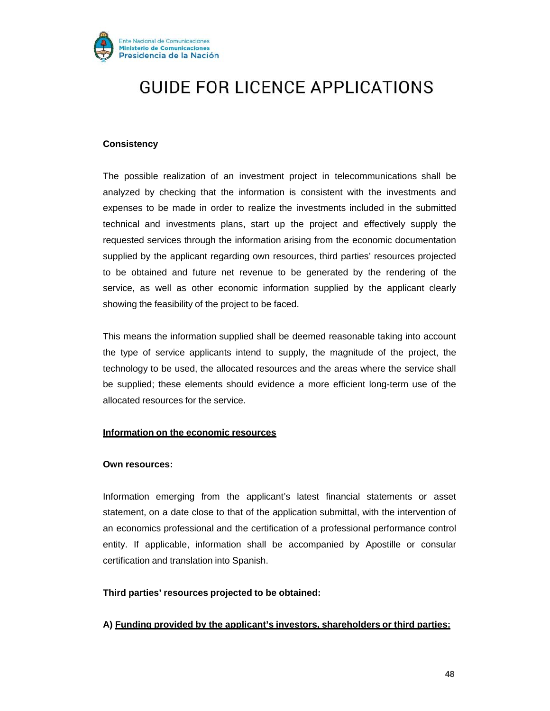

#### **Consistency**

The possible realization of an investment project in telecommunications shall be analyzed by checking that the information is consistent with the investments and expenses to be made in order to realize the investments included in the submitted technical and investments plans, start up the project and effectively supply the requested services through the information arising from the economic documentation supplied by the applicant regarding own resources, third parties' resources projected to be obtained and future net revenue to be generated by the rendering of the service, as well as other economic information supplied by the applicant clearly showing the feasibility of the project to be faced.

This means the information supplied shall be deemed reasonable taking into account the type of service applicants intend to supply, the magnitude of the project, the technology to be used, the allocated resources and the areas where the service shall be supplied; these elements should evidence a more efficient long-term use of the allocated resources for the service.

#### **Information on the economic resources**

#### **Own resources:**

Information emerging from the applicant's latest financial statements or asset statement, on a date close to that of the application submittal, with the intervention of an economics professional and the certification of a professional performance control entity. If applicable, information shall be accompanied by Apostille or consular certification and translation into Spanish.

#### **Third parties' resources projected to be obtained:**

#### **A) Funding provided by the applicant's investors, shareholders or third parties:**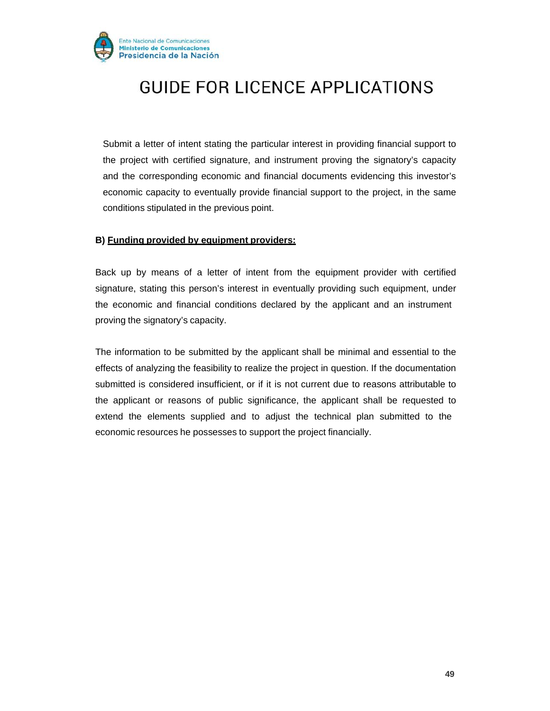

Submit a letter of intent stating the particular interest in providing financial support to the project with certified signature, and instrument proving the signatory's capacity and the corresponding economic and financial documents evidencing this investor's economic capacity to eventually provide financial support to the project, in the same conditions stipulated in the previous point.

#### **B) Funding provided by equipment providers:**

Back up by means of a letter of intent from the equipment provider with certified signature, stating this person's interest in eventually providing such equipment, under the economic and financial conditions declared by the applicant and an instrument proving the signatory's capacity.

The information to be submitted by the applicant shall be minimal and essential to the effects of analyzing the feasibility to realize the project in question. If the documentation submitted is considered insufficient, or if it is not current due to reasons attributable to the applicant or reasons of public significance, the applicant shall be requested to extend the elements supplied and to adjust the technical plan submitted to the economic resources he possesses to support the project financially.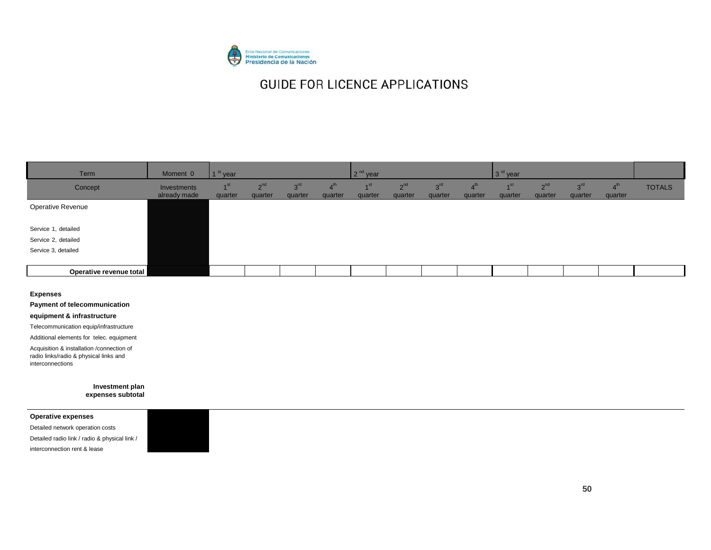

| Term                    | Moment 0                    | 1 <sup>st</sup> year       |                     |                            |                           | $2nd$ year                 |                            |                            |                           | $3rd$ year                   |                     |                            |                        |               |
|-------------------------|-----------------------------|----------------------------|---------------------|----------------------------|---------------------------|----------------------------|----------------------------|----------------------------|---------------------------|------------------------------|---------------------|----------------------------|------------------------|---------------|
| Concept                 | Investments<br>already made | 1 <sup>st</sup><br>quarter | $2^{nd}$<br>quarter | 3 <sup>rd</sup><br>quarter | 4 <sup>m</sup><br>quarter | 4 <sub>st</sub><br>quarter | 2 <sup>nd</sup><br>quarter | 3 <sup>rd</sup><br>quarter | 4 <sup>m</sup><br>quarter | $\overline{4}$ St<br>quarter | $2^{nd}$<br>quarter | 3 <sup>rd</sup><br>quarter | $4^{\circ}$<br>quarter | <b>TOTALS</b> |
| Operative Revenue       |                             |                            |                     |                            |                           |                            |                            |                            |                           |                              |                     |                            |                        |               |
| Service 1, detailed     |                             |                            |                     |                            |                           |                            |                            |                            |                           |                              |                     |                            |                        |               |
| Service 2, detailed     |                             |                            |                     |                            |                           |                            |                            |                            |                           |                              |                     |                            |                        |               |
| Service 3, detailed     |                             |                            |                     |                            |                           |                            |                            |                            |                           |                              |                     |                            |                        |               |
| Operative revenue total |                             |                            |                     |                            |                           |                            |                            |                            |                           |                              |                     |                            |                        |               |

#### **Expenses**

**Payment of telecommunication** 

#### **equipment & infrastructure**

Telecommunication equip/infrastructure

Additional elements for telec. equipment

Acquisition & installation /connection of radio links/radio & physical links and interconnections

> **Investment plan expenses subtotal**

**Operative expenses**

Detailed network operation costs Detailed radio link / radio & physical link / interconnection rent & lease

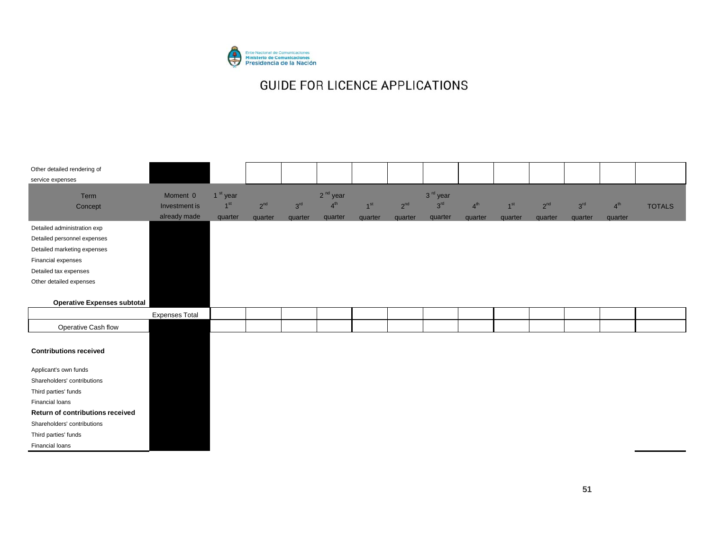

| Other detailed rendering of      |                       |                      |          |                 |            |                 |          |                      |                 |                 |          |                 |                 |               |
|----------------------------------|-----------------------|----------------------|----------|-----------------|------------|-----------------|----------|----------------------|-----------------|-----------------|----------|-----------------|-----------------|---------------|
| service expenses                 |                       |                      |          |                 |            |                 |          |                      |                 |                 |          |                 |                 |               |
| Term                             | Moment 0              | 1 <sup>st</sup> year |          |                 | $2nd$ year |                 |          | 3 <sup>rd</sup> year |                 |                 |          |                 |                 |               |
| Concept                          | Investment is         | $1^{\rm st}$         | $2^{nd}$ | 3 <sup>rd</sup> | $4^{th}$   | 1 <sup>st</sup> | $2^{nd}$ | $3^{\rm rd}$         | 4 <sup>th</sup> | 1 <sup>st</sup> | $2^{nd}$ | 3 <sup>rd</sup> | 4 <sup>th</sup> | <b>TOTALS</b> |
|                                  | already made          | quarter              | quarter  | quarter         | quarter    | quarter         | quarter  | quarter              | quarter         | quarter         | quarter  | quarter         | quarter         |               |
| Detailed administration exp      |                       |                      |          |                 |            |                 |          |                      |                 |                 |          |                 |                 |               |
| Detailed personnel expenses      |                       |                      |          |                 |            |                 |          |                      |                 |                 |          |                 |                 |               |
| Detailed marketing expenses      |                       |                      |          |                 |            |                 |          |                      |                 |                 |          |                 |                 |               |
| Financial expenses               |                       |                      |          |                 |            |                 |          |                      |                 |                 |          |                 |                 |               |
| Detailed tax expenses            |                       |                      |          |                 |            |                 |          |                      |                 |                 |          |                 |                 |               |
| Other detailed expenses          |                       |                      |          |                 |            |                 |          |                      |                 |                 |          |                 |                 |               |
|                                  |                       |                      |          |                 |            |                 |          |                      |                 |                 |          |                 |                 |               |
| Operative Expenses subtotal      |                       |                      |          |                 |            |                 |          |                      |                 |                 |          |                 |                 |               |
|                                  | <b>Expenses Total</b> |                      |          |                 |            |                 |          |                      |                 |                 |          |                 |                 |               |
| Operative Cash flow              |                       |                      |          |                 |            |                 |          |                      |                 |                 |          |                 |                 |               |
|                                  |                       |                      |          |                 |            |                 |          |                      |                 |                 |          |                 |                 |               |
| <b>Contributions received</b>    |                       |                      |          |                 |            |                 |          |                      |                 |                 |          |                 |                 |               |
|                                  |                       |                      |          |                 |            |                 |          |                      |                 |                 |          |                 |                 |               |
| Applicant's own funds            |                       |                      |          |                 |            |                 |          |                      |                 |                 |          |                 |                 |               |
| Shareholders' contributions      |                       |                      |          |                 |            |                 |          |                      |                 |                 |          |                 |                 |               |
| Third parties' funds             |                       |                      |          |                 |            |                 |          |                      |                 |                 |          |                 |                 |               |
| Financial loans                  |                       |                      |          |                 |            |                 |          |                      |                 |                 |          |                 |                 |               |
| Return of contributions received |                       |                      |          |                 |            |                 |          |                      |                 |                 |          |                 |                 |               |
| Shareholders' contributions      |                       |                      |          |                 |            |                 |          |                      |                 |                 |          |                 |                 |               |
| Third parties' funds             |                       |                      |          |                 |            |                 |          |                      |                 |                 |          |                 |                 |               |
| Financial loans                  |                       |                      |          |                 |            |                 |          |                      |                 |                 |          |                 |                 |               |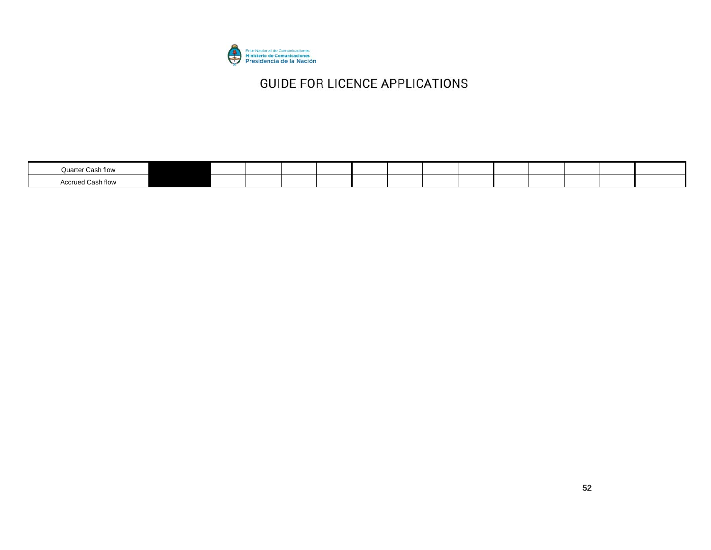

| Quarter Cash flow        |  |  |  |  |  |  |  |
|--------------------------|--|--|--|--|--|--|--|
| <b>Accrued Cash flow</b> |  |  |  |  |  |  |  |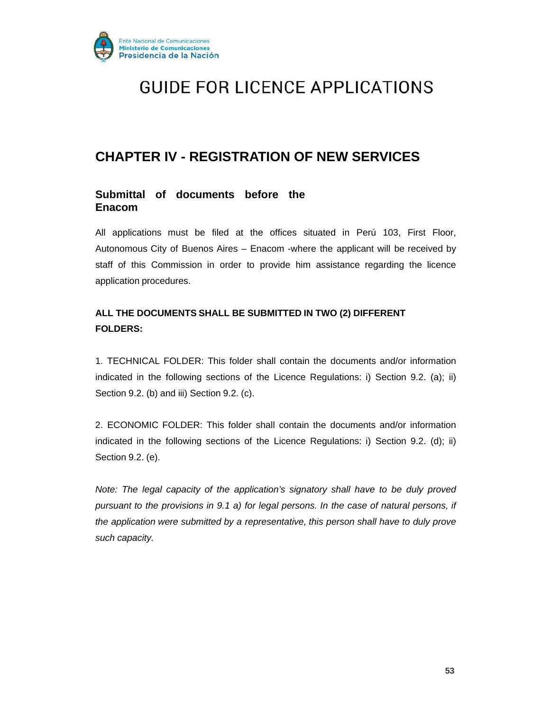

### **CHAPTER IV - REGISTRATION OF NEW SERVICES**

### **Submittal of documents before the Enacom**

All applications must be filed at the offices situated in Perú 103, First Floor, Autonomous City of Buenos Aires – Enacom -where the applicant will be received by staff of this Commission in order to provide him assistance regarding the licence application procedures.

### **ALL THE DOCUMENTS SHALL BE SUBMITTED IN TWO (2) DIFFERENT FOLDERS:**

1. TECHNICAL FOLDER: This folder shall contain the documents and/or information indicated in the following sections of the Licence Regulations: i) Section 9.2. (a); ii) Section 9.2. (b) and iii) Section 9.2. (c).

2. ECONOMIC FOLDER: This folder shall contain the documents and/or information indicated in the following sections of the Licence Regulations: i) Section 9.2. (d); ii) Section 9.2. (e).

*Note: The legal capacity of the application's signatory shall have to be duly proved pursuant to the provisions in 9.1 a) for legal persons. In the case of natural persons, if the application were submitted by a representative, this person shall have to duly prove such capacity.*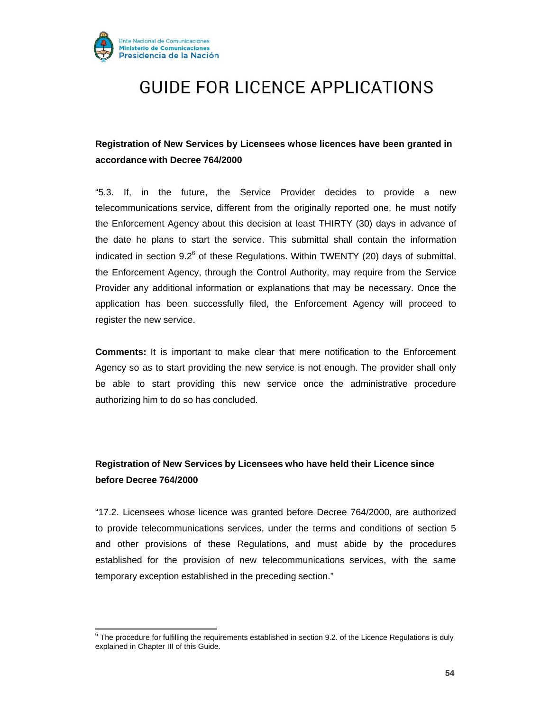

### **Registration of New Services by Licensees whose licences have been granted in accordance with Decree 764/2000**

"5.3. If, in the future, the Service Provider decides to provide a new telecommunications service, different from the originally reported one, he must notify the Enforcement Agency about this decision at least THIRTY (30) days in advance of the date he plans to start the service. This submittal shall contain the information indicated in section  $9.2^6$  of these Regulations. Within TWENTY (20) days of submittal, the Enforcement Agency, through the Control Authority, may require from the Service Provider any additional information or explanations that may be necessary. Once the application has been successfully filed, the Enforcement Agency will proceed to register the new service.

**Comments:** It is important to make clear that mere notification to the Enforcement Agency so as to start providing the new service is not enough. The provider shall only be able to start providing this new service once the administrative procedure authorizing him to do so has concluded.

### **Registration of New Services by Licensees who have held their Licence since before Decree 764/2000**

"17.2. Licensees whose licence was granted before Decree 764/2000, are authorized to provide telecommunications services, under the terms and conditions of section 5 and other provisions of these Regulations, and must abide by the procedures established for the provision of new telecommunications services, with the same temporary exception established in the preceding section."

 $6$  The procedure for fulfilling the requirements established in section 9.2. of the Licence Regulations is duly explained in Chapter III of this Guide.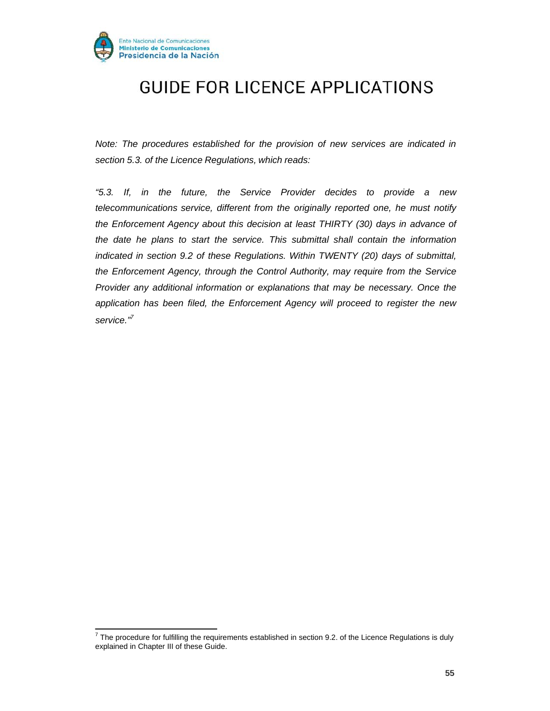

*Note: The procedures established for the provision of new services are indicated in section 5.3. of the Licence Regulations, which reads:*

*"5.3. If, in the future, the Service Provider decides to provide a new telecommunications service, different from the originally reported one, he must notify the Enforcement Agency about this decision at least THIRTY (30) days in advance of the date he plans to start the service. This submittal shall contain the information indicated in section 9.2 of these Regulations. Within TWENTY (20) days of submittal, the Enforcement Agency, through the Control Authority, may require from the Service Provider any additional information or explanations that may be necessary. Once the application has been filed, the Enforcement Agency will proceed to register the new service."7*

 $7$  The procedure for fulfilling the requirements established in section 9.2. of the Licence Regulations is duly explained in Chapter III of these Guide.